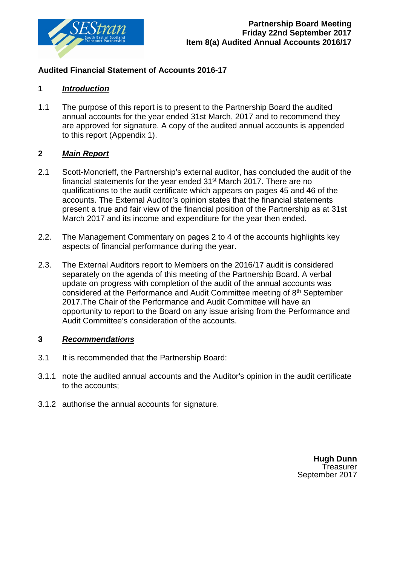

### **Audited Financial Statement of Accounts 2016-17**

### **1** *Introduction*

1.1 The purpose of this report is to present to the Partnership Board the audited annual accounts for the year ended 31st March, 2017 and to recommend they are approved for signature. A copy of the audited annual accounts is appended to this report (Appendix 1).

### **2** *Main Report*

- 2.1 Scott-Moncrieff, the Partnership's external auditor, has concluded the audit of the financial statements for the year ended 31st March 2017. There are no qualifications to the audit certificate which appears on pages 45 and 46 of the accounts. The External Auditor's opinion states that the financial statements present a true and fair view of the financial position of the Partnership as at 31st March 2017 and its income and expenditure for the year then ended.
- 2.2.The Management Commentary on pages 2 to 4 of the accounts highlights key aspects of financial performance during the year.
- 2.3.The External Auditors report to Members on the 2016/17 audit is considered separately on the agenda of this meeting of the Partnership Board. A verbal update on progress with completion of the audit of the annual accounts was considered at the Performance and Audit Committee meeting of 8th September 2017.The Chair of the Performance and Audit Committee will have an opportunity to report to the Board on any issue arising from the Performance and Audit Committee's consideration of the accounts.

### **3** *Recommendations*

- 3.1 It is recommended that the Partnership Board:
- 3.1.1 note the audited annual accounts and the Auditor's opinion in the audit certificate to the accounts;
- 3.1.2 authorise the annual accounts for signature.

**Hugh Dunn Treasurer** September 2017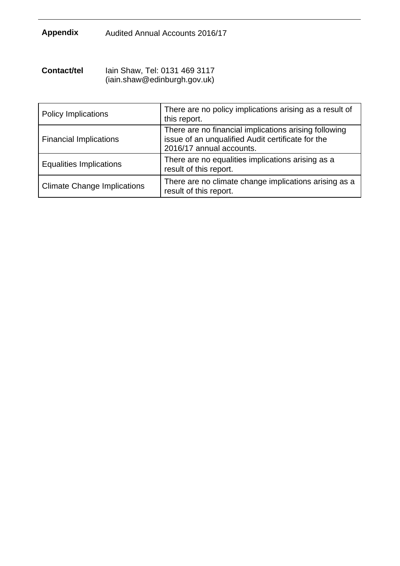# **Appendix** Audited Annual Accounts 2016/17

| Contact/tel | lain Shaw, Tel: 0131 469 3117 |
|-------------|-------------------------------|
|             | (iain.shaw@edinburgh.gov.uk)  |

| <b>Policy Implications</b>         | There are no policy implications arising as a result of<br>this report.                                                                |
|------------------------------------|----------------------------------------------------------------------------------------------------------------------------------------|
| <b>Financial Implications</b>      | There are no financial implications arising following<br>issue of an unqualified Audit certificate for the<br>2016/17 annual accounts. |
| <b>Equalities Implications</b>     | There are no equalities implications arising as a<br>result of this report.                                                            |
| <b>Climate Change Implications</b> | There are no climate change implications arising as a<br>result of this report.                                                        |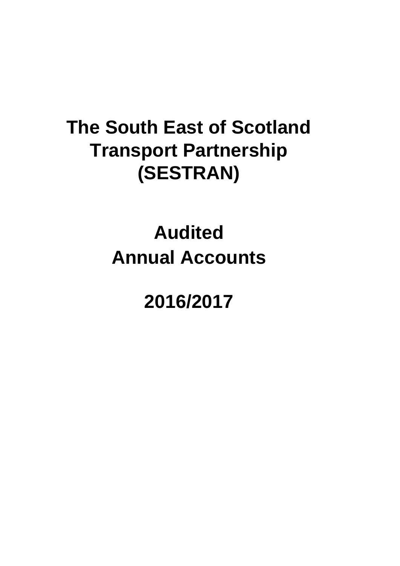# **Annual Accounts Audited**

# **2016/2017**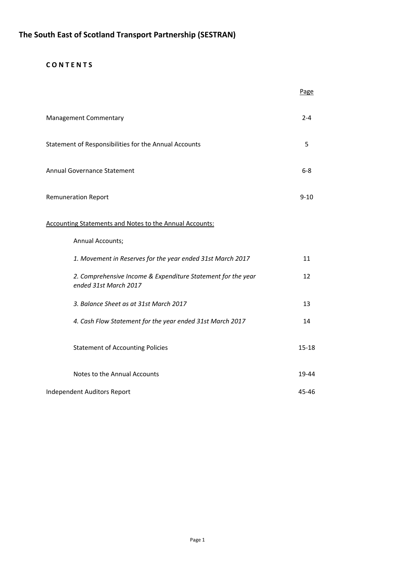### **C O N T E N T S**

|                                                                                       | Page      |
|---------------------------------------------------------------------------------------|-----------|
| <b>Management Commentary</b>                                                          | $2 - 4$   |
| Statement of Responsibilities for the Annual Accounts                                 | 5         |
| Annual Governance Statement                                                           | $6 - 8$   |
| <b>Remuneration Report</b>                                                            | $9 - 10$  |
| <b>Accounting Statements and Notes to the Annual Accounts:</b>                        |           |
| Annual Accounts;                                                                      |           |
| 1. Movement in Reserves for the year ended 31st March 2017                            | 11        |
| 2. Comprehensive Income & Expenditure Statement for the year<br>ended 31st March 2017 | 12        |
| 3. Balance Sheet as at 31st March 2017                                                | 13        |
| 4. Cash Flow Statement for the year ended 31st March 2017                             | 14        |
| <b>Statement of Accounting Policies</b>                                               | $15 - 18$ |
| Notes to the Annual Accounts                                                          | 19-44     |
| Independent Auditors Report                                                           | 45-46     |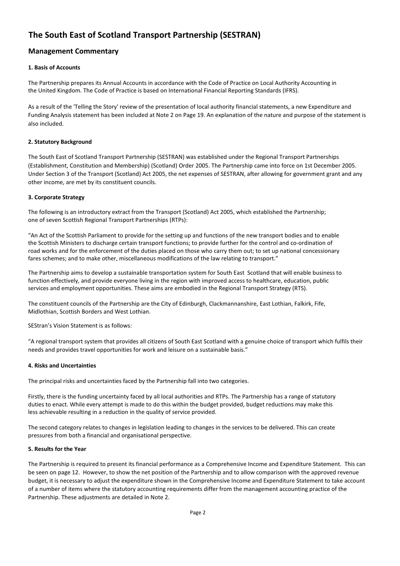### **Management Commentary**

### **1. Basis of Accounts**

The Partnership prepares its Annual Accounts in accordance with the Code of Practice on Local Authority Accounting in the United Kingdom. The Code of Practice is based on International Financial Reporting Standards (IFRS).

As a result of the 'Telling the Story' review of the presentation of local authority financial statements, a new Expenditure and Funding Analysis statement has been included at Note 2 on Page 19. An explanation of the nature and purpose of the statement is also included.

### **2. Statutory Background**

The South East of Scotland Transport Partnership (SESTRAN) was established under the Regional Transport Partnerships (Establishment, Constitution and Membership) (Scotland) Order 2005. The Partnership came into force on 1st December 2005. Under Section 3 of the Transport (Scotland) Act 2005, the net expenses of SESTRAN, after allowing for government grant and any other income, are met by its constituent councils.

### **3. Corporate Strategy**

The following is an introductory extract from the Transport (Scotland) Act 2005, which established the Partnership; one of seven Scottish Regional Transport Partnerships (RTPs):

"An Act of the Scottish Parliament to provide for the setting up and functions of the new transport bodies and to enable the Scottish Ministers to discharge certain transport functions; to provide further for the control and co-ordination of road works and for the enforcement of the duties placed on those who carry them out; to set up national concessionary fares schemes; and to make other, miscellaneous modifications of the law relating to transport."

The Partnership aims to develop a sustainable transportation system for South East Scotland that will enable business to function effectively, and provide everyone living in the region with improved access to healthcare, education, public services and employment opportunities. These aims are embodied in the Regional Transport Strategy (RTS).

The constituent councils of the Partnership are the City of Edinburgh, Clackmannanshire, East Lothian, Falkirk, Fife, Midlothian, Scottish Borders and West Lothian.

SEStran's Vision Statement is as follows:

"A regional transport system that provides all citizens of South East Scotland with a genuine choice of transport which fulfils their needs and provides travel opportunities for work and leisure on a sustainable basis."

### **4. Risks and Uncertainties**

The principal risks and uncertainties faced by the Partnership fall into two categories.

Firstly, there is the funding uncertainty faced by all local authorities and RTPs. The Partnership has a range of statutory duties to enact. While every attempt is made to do this within the budget provided, budget reductions may make this less achievable resulting in a reduction in the quality of service provided.

The second category relates to changes in legislation leading to changes in the services to be delivered. This can create pressures from both a financial and organisational perspective.

### **5. Results for the Year**

The Partnership is required to present its financial performance as a Comprehensive Income and Expenditure Statement. This can be seen on page 12. However, to show the net position of the Partnership and to allow comparison with the approved revenue budget, it is necessary to adjust the expenditure shown in the Comprehensive Income and Expenditure Statement to take account of a number of items where the statutory accounting requirements differ from the management accounting practice of the Partnership. These adjustments are detailed in Note 2.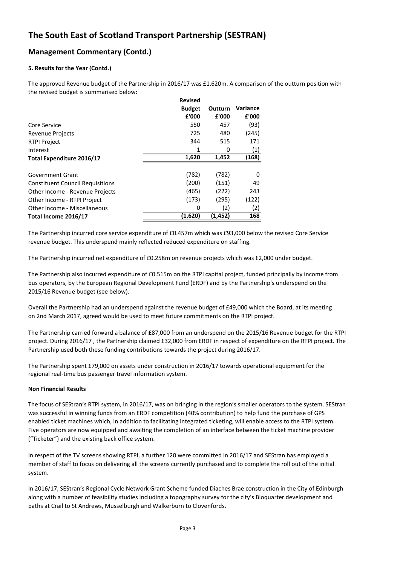### **Management Commentary (Contd.)**

### **5. Results for the Year (Contd.)**

The approved Revenue budget of the Partnership in 2016/17 was £1.620m. A comparison of the outturn position with the revised budget is summarised below:

|                                         | <b>Revised</b> |         |          |
|-----------------------------------------|----------------|---------|----------|
|                                         | <b>Budget</b>  | Outturn | Variance |
|                                         | £'000          | £'000   | £'000    |
| Core Service                            | 550            | 457     | (93)     |
| <b>Revenue Projects</b>                 | 725            | 480     | (245)    |
| <b>RTPI Project</b>                     | 344            | 515     | 171      |
| Interest                                | 1              | 0       | (1)      |
| Total Expenditure 2016/17               | 1,620          | 1,452   | (168)    |
|                                         |                |         |          |
| Government Grant                        | (782)          | (782)   | 0        |
| <b>Constituent Council Requisitions</b> | (200)          | (151)   | 49       |
| Other Income - Revenue Projects         | (465)          | (222)   | 243      |
| Other Income - RTPI Project             | (173)          | (295)   | (122)    |
| Other Income - Miscellaneous            | 0              | (2)     | (2)      |
| Total Income 2016/17                    | (1,620)        | (1,452) | 168      |

The Partnership incurred core service expenditure of £0.457m which was £93,000 below the revised Core Service revenue budget. This underspend mainly reflected reduced expenditure on staffing.

The Partnership incurred net expenditure of £0.258m on revenue projects which was £2,000 under budget.

The Partnership also incurred expenditure of £0.515m on the RTPI capital project, funded principally by income from bus operators, by the European Regional Development Fund (ERDF) and by the Partnership's underspend on the 2015/16 Revenue budget (see below).

Overall the Partnership had an underspend against the revenue budget of £49,000 which the Board, at its meeting on 2nd March 2017, agreed would be used to meet future commitments on the RTPI project.

The Partnership carried forward a balance of £87,000 from an underspend on the 2015/16 Revenue budget for the RTPI project. During 2016/17 , the Partnership claimed £32,000 from ERDF in respect of expenditure on the RTPI project. The Partnership used both these funding contributions towards the project during 2016/17.

The Partnership spent £79,000 on assets under construction in 2016/17 towards operational equipment for the regional real-time bus passenger travel information system.

### **Non Financial Results**

The focus of SEStran's RTPI system, in 2016/17, was on bringing in the region's smaller operators to the system. SEStran was successful in winning funds from an ERDF competition (40% contribution) to help fund the purchase of GPS enabled ticket machines which, in addition to facilitating integrated ticketing, will enable access to the RTPI system. Five operators are now equipped and awaiting the completion of an interface between the ticket machine provider ("Ticketer") and the existing back office system.

In respect of the TV screens showing RTPI, a further 120 were committed in 2016/17 and SEStran has employed a member of staff to focus on delivering all the screens currently purchased and to complete the roll out of the initial system.

In 2016/17, SEStran's Regional Cycle Network Grant Scheme funded Diaches Brae construction in the City of Edinburgh along with a number of feasibility studies including a topography survey for the city's Bioquarter development and paths at Crail to St Andrews, Musselburgh and Walkerburn to Clovenfords.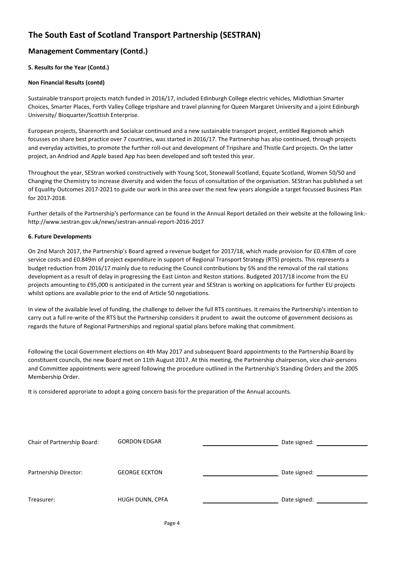### **Management Commentary (Contd.)**

### **5. Results for the Year (Contd.)**

### **Non Financial Results (contd)**

Sustainable transport projects match funded in 2016/17, included Edinburgh College electric vehicles, Midlothian Smarter Choices, Smarter Places, Forth Valley College tripshare and travel planning for Queen Margaret University and a joint Edinburgh University/ Bioquarter/Scottish Enterprise.

European projects, Sharenorth and Socialcar continued and a new sustainable transport project, entitled Regiomob which focusses on share best practice over 7 countries, was started in 2016/17. The Partnership has also continued, through projects and everyday activities, to promote the further roll-out and development of Tripshare and Thistle Card projects. On the latter project, an Andriod and Apple based App has been developed and soft tested this year.

Throughout the year, SEStran worked constructively with Young Scot, Stonewall Scotland, Equate Scotland, Women 50/50 and Changing the Chemistry to increase diversity and widen the focus of consultation of the organisation. SEStran has published a set of Equality Outcomes 2017-2021 to guide our work in this area over the next few years alongside a target focussed Business Plan for 2017-2018.

Further details of the Partnership's performance can be found in the Annual Report detailed on their website at the following link: http://www.sestran.gov.uk/news/sestran-annual-report-2016-2017

### **6. Future Developments**

On 2nd March 2017, the Partnership's Board agreed a revenue budget for 2017/18, which made provision for £0.478m of core service costs and £0.849m of project expenditure in support of Regional Transport Strategy (RTS) projects. This represents a budget reduction from 2016/17 mainly due to reducing the Council contributions by 5% and the removal of the rail stations development as a result of delay in progressing the East Linton and Reston stations. Budgeted 2017/18 income from the EU projects amounting to £95,000 is anticipated in the current year and SEStran is working on applications for further EU projects whilst options are available prior to the end of Article 50 negotiations.

In view of the available level of funding, the challenge to deliver the full RTS continues. It remains the Partnership's intention to carry out a full re-write of the RTS but the Partnership considers it prudent to await the outcome of government decisions as regards the future of Regional Partnerships and regional spatial plans before making that commitment.

Following the Local Government elections on 4th May 2017 and subsequent Board appointments to the Partnership Board by constituent councils, the new Board met on 11th August 2017. At this meeting, the Partnership chairperson, vice chair-persons and Committee appointments were agreed following the procedure outlined in the Partnership's Standing Orders and the 2005 Membership Order.

It is considered approriate to adopt a going concern basis for the preparation of the Annual accounts.

| Chair of Partnership Board: | <b>GORDON EDGAR</b>  | Date signed: |
|-----------------------------|----------------------|--------------|
|                             |                      |              |
|                             |                      |              |
| Partnership Director:       | <b>GEORGE ECKTON</b> | Date signed: |
|                             |                      |              |
| Treasurer:                  | HUGH DUNN, CPFA      | Date signed: |
|                             |                      |              |
|                             |                      |              |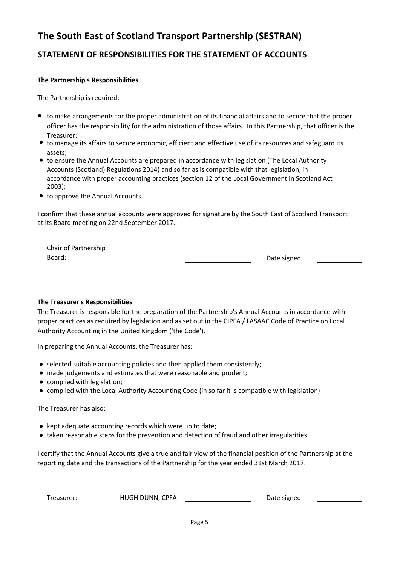# **STATEMENT OF RESPONSIBILITIES FOR THE STATEMENT OF ACCOUNTS**

### **The Partnership's Responsibilities**

The Partnership is required:

- to make arrangements for the proper administration of its financial affairs and to secure that the proper officer has the responsibility for the administration of those affairs. In this Partnership, that officer is the Treasurer;
- to manage its affairs to secure economic, efficient and effective use of its resources and safeguard its assets;
- to ensure the Annual Accounts are prepared in accordance with legislation (The Local Authority Accounts (Scotland) Regulations 2014) and so far as is compatible with that legislation, in accordance with proper accounting practices (section 12 of the Local Government in Scotland Act 2003);
- to approve the Annual Accounts.

at its Board meeting on 22nd September 2017. I confirm that these annual accounts were approved for signature by the South East of Scotland Transport

Chair of Partnership Board:

Date signed:

### **The Treasurer's Responsibilities**

The Treasurer is responsible for the preparation of the Partnership's Annual Accounts in accordance with proper practices as required by legislation and as set out in the CIPFA / LASAAC Code of Practice on Local Authority Accounting in the United Kingdom ('the Code').

In preparing the Annual Accounts, the Treasurer has:

- selected suitable accounting policies and then applied them consistently;
- made judgements and estimates that were reasonable and prudent;
- complied with legislation;
- complied with the Local Authority Accounting Code (in so far it is compatible with legislation)

The Treasurer has also:

- kept adequate accounting records which were up to date;
- taken reasonable steps for the prevention and detection of fraud and other irregularities.

I certify that the Annual Accounts give a true and fair view of the financial position of the Partnership at the reporting date and the transactions of the Partnership for the year ended 31st March 2017.

Treasurer: HUGH DUNN, CPFA

Date signed: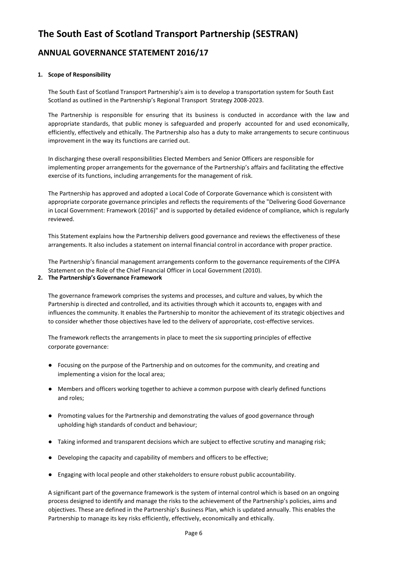### **ANNUAL GOVERNANCE STATEMENT 2016/17**

### **1. Scope of Responsibility**

The South East of Scotland Transport Partnership's aim is to develop a transportation system for South East Scotland as outlined in the Partnership's Regional Transport Strategy 2008-2023.

The Partnership is responsible for ensuring that its business is conducted in accordance with the law and appropriate standards, that public money is safeguarded and properly accounted for and used economically, efficiently, effectively and ethically. The Partnership also has a duty to make arrangements to secure continuous improvement in the way its functions are carried out.

In discharging these overall responsibilities Elected Members and Senior Officers are responsible for implementing proper arrangements for the governance of the Partnership's affairs and facilitating the effective exercise of its functions, including arrangements for the management of risk.

The Partnership has approved and adopted a Local Code of Corporate Governance which is consistent with appropriate corporate governance principles and reflects the requirements of the "Delivering Good Governance in Local Government: Framework (2016)" and is supported by detailed evidence of compliance, which is regularly reviewed.

This Statement explains how the Partnership delivers good governance and reviews the effectiveness of these arrangements. It also includes a statement on internal financial control in accordance with proper practice.

The Partnership's financial management arrangements conform to the governance requirements of the CIPFA Statement on the Role of the Chief Financial Officer in Local Government (2010).

### **2. The Partnership's Governance Framework**

The governance framework comprises the systems and processes, and culture and values, by which the Partnership is directed and controlled, and its activities through which it accounts to, engages with and influences the community. It enables the Partnership to monitor the achievement of its strategic objectives and to consider whether those objectives have led to the delivery of appropriate, cost-effective services.

The framework reflects the arrangements in place to meet the six supporting principles of effective corporate governance:

- Focusing on the purpose of the Partnership and on outcomes for the community, and creating and implementing a vision for the local area;
- Members and officers working together to achieve a common purpose with clearly defined functions and roles;
- Promoting values for the Partnership and demonstrating the values of good governance through upholding high standards of conduct and behaviour;
- Taking informed and transparent decisions which are subject to effective scrutiny and managing risk;
- Developing the capacity and capability of members and officers to be effective;
- Engaging with local people and other stakeholders to ensure robust public accountability.

A significant part of the governance framework is the system of internal control which is based on an ongoing process designed to identify and manage the risks to the achievement of the Partnership's policies, aims and objectives. These are defined in the Partnership's Business Plan, which is updated annually. This enables the Partnership to manage its key risks efficiently, effectively, economically and ethically.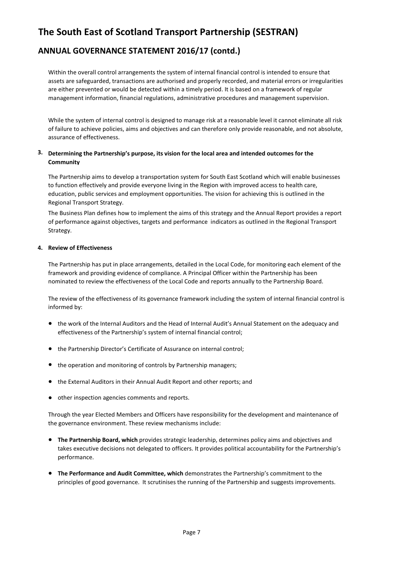### **ANNUAL GOVERNANCE STATEMENT 2016/17 (contd.)**

Within the overall control arrangements the system of internal financial control is intended to ensure that assets are safeguarded, transactions are authorised and properly recorded, and material errors or irregularities are either prevented or would be detected within a timely period. It is based on a framework of regular management information, financial regulations, administrative procedures and management supervision.

While the system of internal control is designed to manage risk at a reasonable level it cannot eliminate all risk of failure to achieve policies, aims and objectives and can therefore only provide reasonable, and not absolute, assurance of effectiveness.

### **3. Determining the Partnership's purpose, its vision for the local area and intended outcomes for the Community**

The Partnership aims to develop a transportation system for South East Scotland which will enable businesses to function effectively and provide everyone living in the Region with improved access to health care, education, public services and employment opportunities. The vision for achieving this is outlined in the Regional Transport Strategy.

The Business Plan defines how to implement the aims of this strategy and the Annual Report provides a report of performance against objectives, targets and performance indicators as outlined in the Regional Transport Strategy.

### **4. Review of Effectiveness**

The Partnership has put in place arrangements, detailed in the Local Code, for monitoring each element of the framework and providing evidence of compliance. A Principal Officer within the Partnership has been nominated to review the effectiveness of the Local Code and reports annually to the Partnership Board.

The review of the effectiveness of its governance framework including the system of internal financial control is informed by:

- the work of the Internal Auditors and the Head of Internal Audit's Annual Statement on the adequacy and effectiveness of the Partnership's system of internal financial control;
- the Partnership Director's Certificate of Assurance on internal control;
- the operation and monitoring of controls by Partnership managers;
- the External Auditors in their Annual Audit Report and other reports; and
- other inspection agencies comments and reports.

Through the year Elected Members and Officers have responsibility for the development and maintenance of the governance environment. These review mechanisms include:

- **The Partnership Board, which** provides strategic leadership, determines policy aims and objectives and takes executive decisions not delegated to officers. It provides political accountability for the Partnership's performance.
- **The Performance and Audit Committee, which** demonstrates the Partnership's commitment to the principles of good governance. It scrutinises the running of the Partnership and suggests improvements.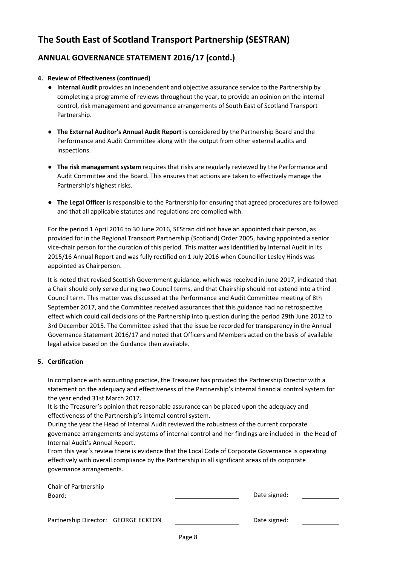### **ANNUAL GOVERNANCE STATEMENT 2016/17 (contd.)**

### **4. Review of Effectiveness (continued)**

- **Internal Audit** provides an independent and objective assurance service to the Partnership by completing a programme of reviews throughout the year, to provide an opinion on the internal control, risk management and governance arrangements of South East of Scotland Transport Partnership.
- **The External Auditor's Annual Audit Report** is considered by the Partnership Board and the Performance and Audit Committee along with the output from other external audits and inspections.
- **The risk management system** requires that risks are regularly reviewed by the Performance and Audit Committee and the Board. This ensures that actions are taken to effectively manage the Partnership's highest risks.
- **The Legal Officer** is responsible to the Partnership for ensuring that agreed procedures are followed and that all applicable statutes and regulations are complied with.

For the period 1 April 2016 to 30 June 2016, SEStran did not have an appointed chair person, as provided for in the Regional Transport Partnership (Scotland) Order 2005, having appointed a senior vice-chair person for the duration of this period. This matter was identified by Internal Audit in its 2015/16 Annual Report and was fully rectified on 1 July 2016 when Councillor Lesley Hinds was appointed as Chairperson.

It is noted that revised Scottish Government guidance, which was received in June 2017, indicated that a Chair should only serve during two Council terms, and that Chairship should not extend into a third Council term. This matter was discussed at the Performance and Audit Committee meeting of 8th September 2017, and the Committee received assurances that this guidance had no retrospective effect which could call decisions of the Partnership into question during the period 29th June 2012 to 3rd December 2015. The Committee asked that the issue be recorded for transparency in the Annual Governance Statement 2016/17 and noted that Officers and Members acted on the basis of available legal advice based on the Guidance then available.

### **5. Certification**

In compliance with accounting practice, the Treasurer has provided the Partnership Director with a statement on the adequacy and effectiveness of the Partnership's internal financial control system for the year ended 31st March 2017.

It is the Treasurer's opinion that reasonable assurance can be placed upon the adequacy and effectiveness of the Partnership's internal control system.

During the year the Head of Internal Audit reviewed the robustness of the current corporate governance arrangements and systems of internal control and her findings are included in the Head of Internal Audit's Annual Report.

From this year's review there is evidence that the Local Code of Corporate Governance is operating effectively with overall compliance by the Partnership in all significant areas of its corporate governance arrangements.

| Chair of Partnership<br>Board:      |  | Date signed: |  |
|-------------------------------------|--|--------------|--|
| Partnership Director: GEORGE ECKTON |  | Date signed: |  |
|                                     |  |              |  |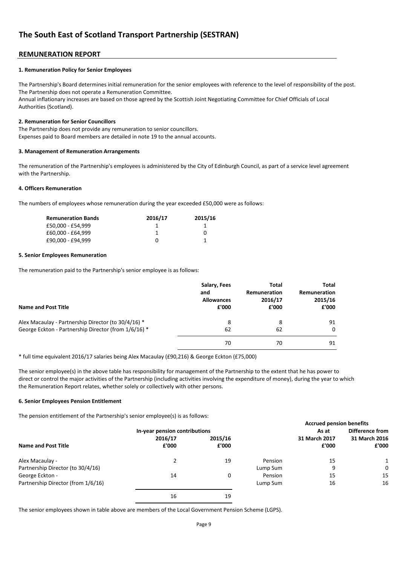### **REMUNERATION REPORT**

#### **1. Remuneration Policy for Senior Employees**

The Partnership's Board determines initial remuneration for the senior employees with reference to the level of responsibility of the post. The Partnership does not operate a Remuneration Committee. Annual inflationary increases are based on those agreed by the Scottish Joint Negotiating Committee for Chief Officials of Local Authorities (Scotland).

#### **2. Remuneration for Senior Councillors**

The Partnership does not provide any remuneration to senior councillors. Expenses paid to Board members are detailed in note 19 to the annual accounts.

#### **3. Management of Remuneration Arrangements**

The remuneration of the Partnership's employees is administered by the City of Edinburgh Council, as part of a service level agreement with the Partnership.

#### **4. Officers Remuneration**

The numbers of employees whose remuneration during the year exceeded £50,000 were as follows:

| <b>Remuneration Bands</b> | 2016/17 | 2015/16 |
|---------------------------|---------|---------|
| £50.000 - £54.999         |         |         |
| £60.000 - £64.999         |         | 0       |
| £90.000 - £94.999         |         |         |

#### **5. Senior Employees Remuneration**

The remuneration paid to the Partnership's senior employee is as follows:

| Name and Post Title                                  | Salary, Fees      | <b>Total</b> | Total        |
|------------------------------------------------------|-------------------|--------------|--------------|
|                                                      | and               | Remuneration | Remuneration |
|                                                      | <b>Allowances</b> | 2016/17      | 2015/16      |
|                                                      | £'000             | £'000        | £'000        |
| Alex Macaulay - Partnership Director (to 30/4/16) *  | 8                 | 8            | 91           |
| George Eckton - Partnership Director (from 1/6/16) * | 62                | 62           | $\mathbf{0}$ |
|                                                      | 70                | 70           | 91           |

\* full time equivalent 2016/17 salaries being Alex Macaulay (£90,216) & George Eckton (£75,000)

The senior employee(s) in the above table has responsibility for management of the Partnership to the extent that he has power to direct or control the major activities of the Partnership (including activities involving the expenditure of money), during the year to which the Remuneration Report relates, whether solely or collectively with other persons.

#### **6. Senior Employees Pension Entitlement**

The pension entitlement of the Partnership's senior employee(s) is as follows:

|                                    |                               |         |          | <b>Accrued pension benefits</b> |                        |
|------------------------------------|-------------------------------|---------|----------|---------------------------------|------------------------|
|                                    | In-year pension contributions |         |          | As at                           | <b>Difference from</b> |
|                                    | 2016/17                       | 2015/16 |          | 31 March 2017                   | 31 March 2016          |
| Name and Post Title                | £'000                         | £'000   |          | £'000                           | £'000                  |
| Alex Macaulay -                    |                               | 19      | Pension  | 15                              |                        |
| Partnership Director (to 30/4/16)  |                               |         | Lump Sum | 9                               | $\Omega$               |
| George Eckton -                    | 14                            | 0       | Pension  | 15                              | 15                     |
| Partnership Director (from 1/6/16) |                               |         | Lump Sum | 16                              | 16                     |
|                                    | 16                            | 19      |          |                                 |                        |

The senior employees shown in table above are members of the Local Government Pension Scheme (LGPS).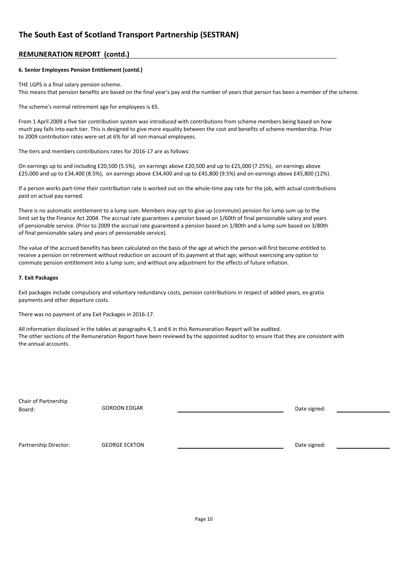### **REMUNERATION REPORT (contd.)**

#### **6. Senior Employees Pension Entitlement (contd.)**

THE LGPS is a final salary pension scheme. This means that pension benefits are based on the final year's pay and the number of years that person has been a member of the scheme.

The scheme's normal retirement age for employees is 65.

From 1 April 2009 a five tier contribution system was introduced with contributions from scheme members being based on how much pay falls into each tier. This is designed to give more equality between the cost and benefits of scheme membership. Prior to 2009 contribution rates were set at 6% for all non manual employees.

The tiers and members contributions rates for 2016-17 are as follows:

On earnings up to and including £20,500 (5.5%), on earnings above £20,500 and up to £25,000 (7.25%), on earnings above £25,000 and up to £34,400 (8.5%), on earnings above £34,400 and up to £45,800 (9.5%) and on earnings above £45,800 (12%).

If a person works part-time their contribution rate is worked out on the whole-time pay rate for the job, with actual contributions paid on actual pay earned.

There is no automatic entitlement to a lump sum. Members may opt to give up (commute) pension for lump sum up to the limit set by the Finance Act 2004. The accrual rate guarantees a pension based on 1/60th of final pensionable salary and years of pensionable service. (Prior to 2009 the accrual rate guaranteed a pension based on 1/80th and a lump sum based on 3/80th of final pensionable salary and years of pensionable service).

The value of the accrued benefits has been calculated on the basis of the age at which the person will first become entitled to receive a pension on retirement without reduction on account of its payment at that age; without exercising any option to commute pension entitlement into a lump sum; and without any adjustment for the effects of future inflation.

#### **7. Exit Packages**

Exit packages include compulsory and voluntary redundancy costs, pension contributions in respect of added years, ex-gratia payments and other departure costs.

There was no payment of any Exit Packages in 2016-17.

All information disclosed in the tables at paragraphs 4, 5 and 6 in this Remuneration Report will be audited. The other sections of the Remuneration Report have been reviewed by the appointed auditor to ensure that they are consistent with the annual accounts.

Chair of Partnership Board:

GORDON EDGAR DATE: DESCRIPTION ON A SERVICE SIGN OF DATE SIGNED STATES OF DATE SIGNED STATES OF DATE SIGNED STATES OF DATE SIGNED STATES OF DATE SIGNED STATES OF DATE SIGNED STATES OF DATE SIGNED STATES OF DATE SIGNED STAT

Partnership Director: GEORGE ECKTON CONSECTED A CONSECTED A Date signed: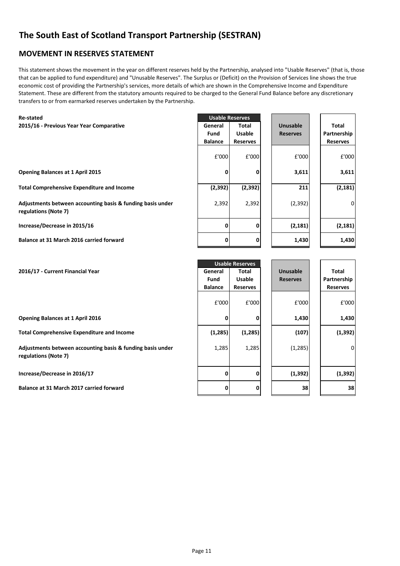### **MOVEMENT IN RESERVES STATEMENT**

This statement shows the movement in the year on different reserves held by the Partnership, analysed into "Usable Reserves" (that is, those that can be applied to fund expenditure) and "Unusable Reserves". The Surplus or (Deficit) on the Provision of Services line shows the true economic cost of providing the Partnership's services, more details of which are shown in the Comprehensive Income and Expenditure Statement. These are different from the statutory amounts required to be charged to the General Fund Balance before any discretionary transfers to or from earmarked reserves undertaken by the Partnership.

| <b>Re-stated</b>                                                                   |                | <b>Usable Reserves</b> |                 |                 |
|------------------------------------------------------------------------------------|----------------|------------------------|-----------------|-----------------|
| 2015/16 - Previous Year Year Comparative                                           | General        | Total                  | <b>Unusable</b> | Total           |
|                                                                                    | Fund           | <b>Usable</b>          | <b>Reserves</b> | Partnership     |
|                                                                                    | <b>Balance</b> | <b>Reserves</b>        |                 | <b>Reserves</b> |
|                                                                                    | £'000          | £'000                  | £'000           | £'000           |
| <b>Opening Balances at 1 April 2015</b>                                            | 0              | ŋ                      | 3,611           | 3,611           |
|                                                                                    |                |                        |                 |                 |
| <b>Total Comprehensive Expenditure and Income</b>                                  | (2, 392)       | (2, 392)               | 211             | (2, 181)        |
| Adjustments between accounting basis & funding basis under<br>regulations (Note 7) | 2,392          | 2,392                  | (2, 392)        | 0               |
| Increase/Decrease in 2015/16                                                       | $\mathbf{0}$   | 0                      | (2, 181)        | (2, 181)        |
| Balance at 31 March 2016 carried forward                                           | 0              | 0                      | 1,430           | 1,430           |
|                                                                                    |                |                        |                 |                 |
|                                                                                    |                | <b>Usable Reserves</b> |                 |                 |
| 2016/17 - Current Financial Year                                                   | General        | Total                  | <b>Unusable</b> | Total           |
|                                                                                    | Fund           | <b>Usable</b>          | <b>Reserves</b> | Partnership     |
|                                                                                    | <b>Ralance</b> | Rocorvoc               |                 | Rocorvoc        |

**Opening Balances at 1 April 2016 0 0 1,430 1,430**

**Total Comprehensive Expenditure and Income (1,285) (1,285) (107) (1,392)**

**Adjustments between accounting basis & funding basis under regulations (Note 7)**

**Increase/Decrease in 2016/17 0 0 (1,392) (1,392)**

**Balance at 31 March 2017 carried forward** 

|                | <b>Usable Reserves</b> |                 |                 |
|----------------|------------------------|-----------------|-----------------|
| General        | Total                  | <b>Unusable</b> | <b>Total</b>    |
| Fund           | <b>Usable</b>          | <b>Reserves</b> | Partnership     |
| <b>Balance</b> | <b>Reserves</b>        |                 | <b>Reserves</b> |
| £'000          | £'000                  | £'000           | £'000           |
| 0              | 0                      | 1,430           | 1,430           |
| (1, 285)       | (1, 285)               | (107)           | (1, 392)        |
| 1,285          | 1,285                  | (1, 285)        | 0               |
| 0              | 0                      | (1, 392)        | (1, 392)        |
| n              | 0                      | 38              | 38              |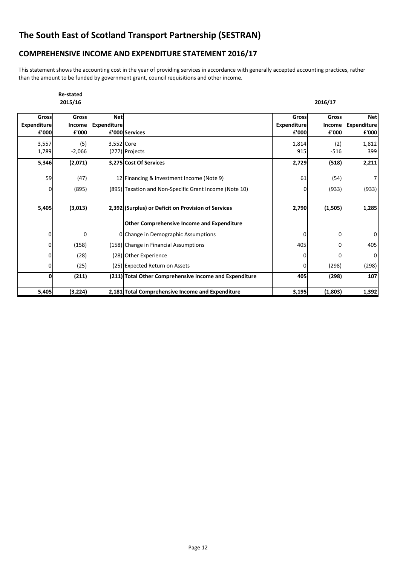### **COMPREHENSIVE INCOME AND EXPENDITURE STATEMENT 2016/17**

This statement shows the accounting cost in the year of providing services in accordance with generally accepted accounting practices, rather than the amount to be funded by government grant, council requisitions and other income.

|                                      | <b>Re-stated</b><br>2015/16 |                                  |                                                        |                                      | 2016/17                  |                                           |
|--------------------------------------|-----------------------------|----------------------------------|--------------------------------------------------------|--------------------------------------|--------------------------|-------------------------------------------|
| Gross<br><b>Expenditure</b><br>£'000 | Gross<br>Income<br>£'000    | <b>Net</b><br><b>Expenditure</b> | £'000 Services                                         | Gross<br><b>Expenditure</b><br>£'000 | Gross<br>Income<br>£'000 | <b>Net</b><br><b>Expenditure</b><br>£'000 |
| 3,557<br>1,789                       | (5)<br>$-2,066$             | 3,552 Core                       | (277) Projects                                         | 1,814<br>915                         | (2)<br>$-516$            | 1,812<br>399                              |
| 5,346                                | (2,071)                     |                                  | 3,275 Cost Of Services                                 | 2,729                                | (518)                    | 2,211                                     |
| 59                                   | (47)                        |                                  | 12 Financing & Investment Income (Note 9)              | 61                                   | (54)                     | $7 \mid$                                  |
| 0                                    | (895)                       |                                  | (895) Taxation and Non-Specific Grant Income (Note 10) |                                      | (933)                    | (933)                                     |
| 5,405                                | (3,013)                     |                                  | 2,392 (Surplus) or Deficit on Provision of Services    | 2,790                                | (1, 505)                 | 1,285                                     |
|                                      |                             |                                  | <b>Other Comprehensive Income and Expenditure</b>      |                                      |                          |                                           |
| 0                                    | 0                           |                                  | 0 Change in Demographic Assumptions                    | 0                                    | O                        | $\overline{0}$                            |
| $\mathbf 0$                          | (158)                       |                                  | (158) Change in Financial Assumptions                  | 405                                  |                          | 405                                       |
| $\mathbf 0$                          | (28)                        |                                  | (28) Other Experience                                  | 0                                    |                          | $\overline{0}$                            |
| $\overline{0}$                       | (25)                        |                                  | (25) Expected Return on Assets                         | 0                                    | (298)                    | (298)                                     |
| 0                                    | (211)                       |                                  | (211) Total Other Comprehensive Income and Expenditure | 405                                  | (298)                    | 107                                       |
| 5,405                                | (3, 224)                    |                                  | 2,181 Total Comprehensive Income and Expenditure       | 3,195                                | (1,803)                  | 1,392                                     |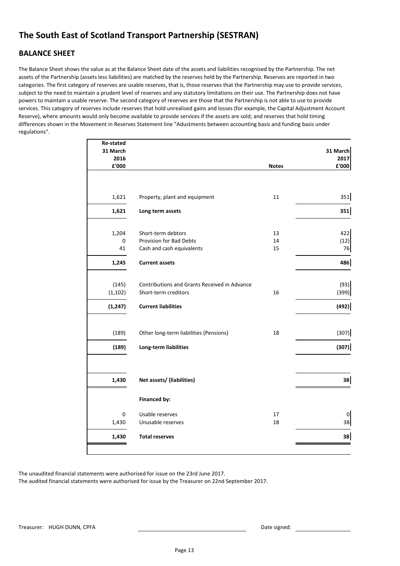### **BALANCE SHEET**

The Balance Sheet shows the value as at the Balance Sheet date of the assets and liabilities recognised by the Partnership. The net assets of the Partnership (assets less liabilities) are matched by the reserves held by the Partnership. Reserves are reported in two categories. The first category of reserves are usable reserves, that is, those reserves that the Partnership may use to provide services, subject to the need to maintain a prudent level of reserves and any statutory limitations on their use. The Partnership does not have powers to maintain a usable reserve. The second category of reserves are those that the Partnership is not able to use to provide services. This category of reserves include reserves that hold unrealised gains and losses (for example, the Capital Adjustment Account Reserve), where amounts would only become available to provide services if the assets are sold; and reserves that hold timing differences shown in the Movement in Reserves Statement line "Adustments between accounting basis and funding basis under regulations".

|                               |                                                                                                                                              | 31 March           |
|-------------------------------|----------------------------------------------------------------------------------------------------------------------------------------------|--------------------|
|                               |                                                                                                                                              | 2017               |
|                               |                                                                                                                                              | £'000              |
|                               |                                                                                                                                              |                    |
|                               |                                                                                                                                              |                    |
| Property, plant and equipment | 11                                                                                                                                           | 351                |
| Long term assets              |                                                                                                                                              | 351                |
|                               |                                                                                                                                              |                    |
| Short-term debtors            | 13                                                                                                                                           | 422                |
| Provision for Bad Debts       | 14                                                                                                                                           | (12)               |
| Cash and cash equivalents     | 15                                                                                                                                           | 76                 |
| <b>Current assets</b>         |                                                                                                                                              | 486                |
|                               |                                                                                                                                              |                    |
|                               |                                                                                                                                              | (93)               |
| Short-term creditors          | 16                                                                                                                                           | (399)              |
| <b>Current liabilities</b>    |                                                                                                                                              | (492)              |
|                               |                                                                                                                                              |                    |
|                               |                                                                                                                                              | (307)              |
|                               |                                                                                                                                              |                    |
|                               |                                                                                                                                              | (307)              |
|                               |                                                                                                                                              |                    |
|                               |                                                                                                                                              | 38                 |
|                               |                                                                                                                                              |                    |
| Financed by:                  |                                                                                                                                              |                    |
| Usable reserves               | 17                                                                                                                                           | $\mathbf 0$        |
| Unusable reserves             | 18                                                                                                                                           | 38                 |
| <b>Total reserves</b>         |                                                                                                                                              | 38                 |
|                               |                                                                                                                                              |                    |
|                               | Contributions and Grants Received in Advance<br>Other long-term liabilities (Pensions)<br>Long-term liabilities<br>Net assets/ (liabilities) | <b>Notes</b><br>18 |

The unaudited financial statements were authorised for issue on the 23rd June 2017.

The audited financial statements were authorised for issue by the Treasurer on 22nd September 2017.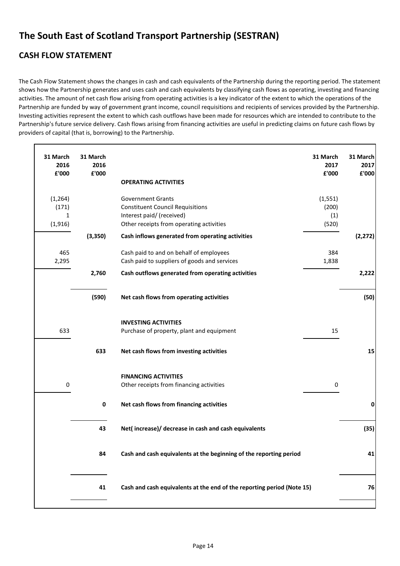# **CASH FLOW STATEMENT**

The Cash Flow Statement shows the changes in cash and cash equivalents of the Partnership during the reporting period. The statement shows how the Partnership generates and uses cash and cash equivalents by classifying cash flows as operating, investing and financing activities. The amount of net cash flow arising from operating activities is a key indicator of the extent to which the operations of the Partnership are funded by way of government grant income, council requisitions and recipients of services provided by the Partnership. Investing activities represent the extent to which cash outflows have been made for resources which are intended to contribute to the Partnership's future service delivery. Cash flows arising from financing activities are useful in predicting claims on future cash flows by providers of capital (that is, borrowing) to the Partnership.

| 31 March<br>2016<br>£'000          | 31 March<br>2016<br>£'000 | 31 March<br>2017<br>£'000<br><b>OPERATING ACTIVITIES</b>                                                                                                                          | 31 March<br>2017<br>£'000 |
|------------------------------------|---------------------------|-----------------------------------------------------------------------------------------------------------------------------------------------------------------------------------|---------------------------|
| (1, 264)<br>(171)<br>1<br>(1, 916) |                           | <b>Government Grants</b><br>(1, 551)<br><b>Constituent Council Requisitions</b><br>(200)<br>Interest paid/ (received)<br>(1)<br>Other receipts from operating activities<br>(520) |                           |
|                                    | (3,350)                   | Cash inflows generated from operating activities                                                                                                                                  | (2, 272)                  |
| 465<br>2,295                       |                           | Cash paid to and on behalf of employees<br>384<br>Cash paid to suppliers of goods and services<br>1,838                                                                           |                           |
|                                    | 2,760                     | Cash outflows generated from operating activities                                                                                                                                 | 2,222                     |
|                                    | (590)                     | Net cash flows from operating activities                                                                                                                                          | (50)                      |
| 633                                |                           | <b>INVESTING ACTIVITIES</b><br>15<br>Purchase of property, plant and equipment                                                                                                    |                           |
|                                    | 633                       | Net cash flows from investing activities                                                                                                                                          | 15                        |
| 0                                  |                           | <b>FINANCING ACTIVITIES</b><br>Other receipts from financing activities<br>0                                                                                                      |                           |
|                                    | $\mathbf 0$               | Net cash flows from financing activities                                                                                                                                          | 0                         |
|                                    | 43                        | Net(increase)/ decrease in cash and cash equivalents                                                                                                                              | (35)                      |
|                                    | 84                        | Cash and cash equivalents at the beginning of the reporting period                                                                                                                | 41                        |
|                                    | 41                        | Cash and cash equivalents at the end of the reporting period (Note 15)                                                                                                            | 76                        |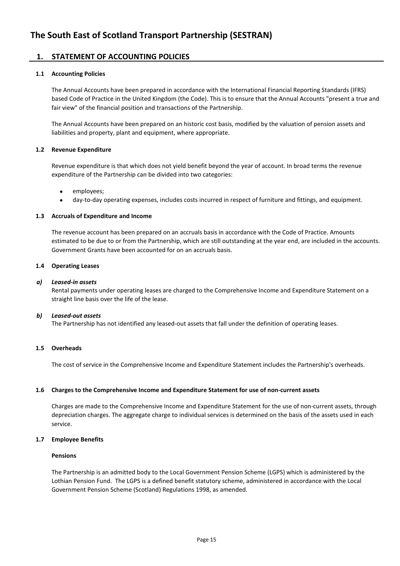### **1. STATEMENT OF ACCOUNTING POLICIES**

### **1.1 Accounting Policies**

The Annual Accounts have been prepared in accordance with the International Financial Reporting Standards (IFRS) based Code of Practice in the United Kingdom (the Code). This is to ensure that the Annual Accounts "present a true and fair view" of the financial position and transactions of the Partnership.

The Annual Accounts have been prepared on an historic cost basis, modified by the valuation of pension assets and liabilities and property, plant and equipment, where appropriate.

### **1.2 Revenue Expenditure**

Revenue expenditure is that which does not yield benefit beyond the year of account. In broad terms the revenue expenditure of the Partnership can be divided into two categories:

- employees;
- day-to-day operating expenses, includes costs incurred in respect of furniture and fittings, and equipment.

### **1.3 Accruals of Expenditure and Income**

The revenue account has been prepared on an accruals basis in accordance with the Code of Practice. Amounts estimated to be due to or from the Partnership, which are still outstanding at the year end, are included in the accounts. Government Grants have been accounted for on an accruals basis.

### **1.4 Operating Leases**

### *a) Leased-in assets*

Rental payments under operating leases are charged to the Comprehensive Income and Expenditure Statement on a straight line basis over the life of the lease.

### *b) Leased-out assets*

The Partnership has not identified any leased-out assets that fall under the definition of operating leases.

### **1.5 Overheads**

The cost of service in the Comprehensive Income and Expenditure Statement includes the Partnership's overheads.

### **1.6 Charges to the Comprehensive Income and Expenditure Statement for use of non-current assets**

Charges are made to the Comprehensive Income and Expenditure Statement for the use of non-current assets, through depreciation charges. The aggregate charge to individual services is determined on the basis of the assets used in each service.

### **1.7 Employee Benefits**

### **Pensions**

The Partnership is an admitted body to the Local Government Pension Scheme (LGPS) which is administered by the Lothian Pension Fund. The LGPS is a defined benefit statutory scheme, administered in accordance with the Local Government Pension Scheme (Scotland) Regulations 1998, as amended.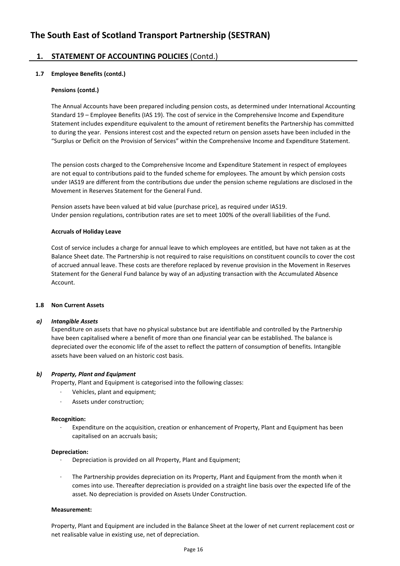### **1. STATEMENT OF ACCOUNTING POLICIES** (Contd.)

### **1.7 Employee Benefits (contd.)**

### **Pensions (contd.)**

The Annual Accounts have been prepared including pension costs, as determined under International Accounting Standard 19 – Employee Benefits (IAS 19). The cost of service in the Comprehensive Income and Expenditure Statement includes expenditure equivalent to the amount of retirement benefits the Partnership has committed to during the year. Pensions interest cost and the expected return on pension assets have been included in the "Surplus or Deficit on the Provision of Services" within the Comprehensive Income and Expenditure Statement.

The pension costs charged to the Comprehensive Income and Expenditure Statement in respect of employees are not equal to contributions paid to the funded scheme for employees. The amount by which pension costs under IAS19 are different from the contributions due under the pension scheme regulations are disclosed in the Movement in Reserves Statement for the General Fund.

Pension assets have been valued at bid value (purchase price), as required under IAS19. Under pension regulations, contribution rates are set to meet 100% of the overall liabilities of the Fund.

#### **Accruals of Holiday Leave**

Cost of service includes a charge for annual leave to which employees are entitled, but have not taken as at the Balance Sheet date. The Partnership is not required to raise requisitions on constituent councils to cover the cost of accrued annual leave. These costs are therefore replaced by revenue provision in the Movement in Reserves Statement for the General Fund balance by way of an adjusting transaction with the Accumulated Absence Account.

### **1.8 Non Current Assets**

### *a) Intangible Assets*

Expenditure on assets that have no physical substance but are identifiable and controlled by the Partnership have been capitalised where a benefit of more than one financial year can be established. The balance is depreciated over the economic life of the asset to reflect the pattern of consumption of benefits. Intangible assets have been valued on an historic cost basis.

### *b) Property, Plant and Equipment*

Property, Plant and Equipment is categorised into the following classes:

- · Vehicles, plant and equipment;
- · Assets under construction;

### **Recognition:**

· Expenditure on the acquisition, creation or enhancement of Property, Plant and Equipment has been capitalised on an accruals basis;

#### **Depreciation:**

- · Depreciation is provided on all Property, Plant and Equipment;
- · The Partnership provides depreciation on its Property, Plant and Equipment from the month when it comes into use. Thereafter depreciation is provided on a straight line basis over the expected life of the asset. No depreciation is provided on Assets Under Construction.

### **Measurement:**

Property, Plant and Equipment are included in the Balance Sheet at the lower of net current replacement cost or net realisable value in existing use, net of depreciation.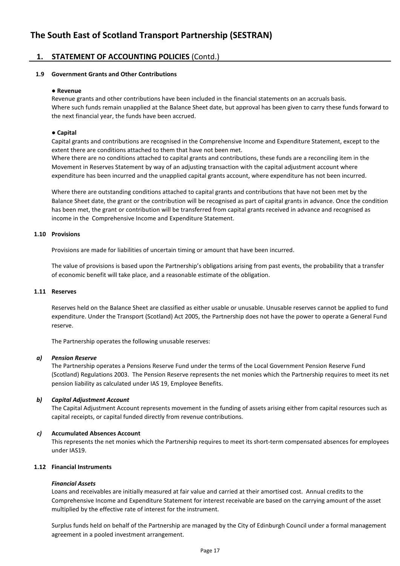### **1. STATEMENT OF ACCOUNTING POLICIES** (Contd.)

### **1.9 Government Grants and Other Contributions**

#### ● **Revenue**

Revenue grants and other contributions have been included in the financial statements on an accruals basis. Where such funds remain unapplied at the Balance Sheet date, but approval has been given to carry these funds forward to the next financial year, the funds have been accrued.

### ● **Capital**

Capital grants and contributions are recognised in the Comprehensive Income and Expenditure Statement, except to the extent there are conditions attached to them that have not been met.

Where there are no conditions attached to capital grants and contributions, these funds are a reconciling item in the Movement in Reserves Statement by way of an adjusting transaction with the capital adjustment account where expenditure has been incurred and the unapplied capital grants account, where expenditure has not been incurred.

Where there are outstanding conditions attached to capital grants and contributions that have not been met by the Balance Sheet date, the grant or the contribution will be recognised as part of capital grants in advance. Once the condition has been met, the grant or contribution will be transferred from capital grants received in advance and recognised as income in the Comprehensive Income and Expenditure Statement.

#### **1.10 Provisions**

Provisions are made for liabilities of uncertain timing or amount that have been incurred.

The value of provisions is based upon the Partnership's obligations arising from past events, the probability that a transfer of economic benefit will take place, and a reasonable estimate of the obligation.

### **1.11 Reserves**

Reserves held on the Balance Sheet are classified as either usable or unusable. Unusable reserves cannot be applied to fund expenditure. Under the Transport (Scotland) Act 2005, the Partnership does not have the power to operate a General Fund reserve.

The Partnership operates the following unusable reserves:

### *a) Pension Reserve*

The Partnership operates a Pensions Reserve Fund under the terms of the Local Government Pension Reserve Fund (Scotland) Regulations 2003. The Pension Reserve represents the net monies which the Partnership requires to meet its net pension liability as calculated under IAS 19, Employee Benefits.

### *b) Capital Adjustment Account*

The Capital Adjustment Account represents movement in the funding of assets arising either from capital resources such as capital receipts, or capital funded directly from revenue contributions.

### *c)* **Accumulated Absences Account**

This represents the net monies which the Partnership requires to meet its short-term compensated absences for employees under IAS19.

### **1.12 Financial Instruments**

### *Financial Assets*

Loans and receivables are initially measured at fair value and carried at their amortised cost. Annual credits to the Comprehensive Income and Expenditure Statement for interest receivable are based on the carrying amount of the asset multiplied by the effective rate of interest for the instrument.

Surplus funds held on behalf of the Partnership are managed by the City of Edinburgh Council under a formal management agreement in a pooled investment arrangement.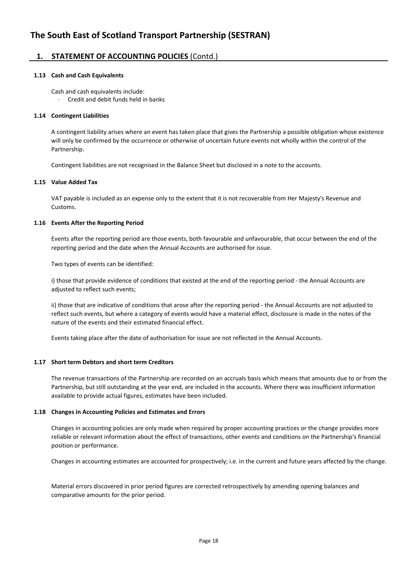### **1. STATEMENT OF ACCOUNTING POLICIES** (Contd.)

### **1.13 Cash and Cash Equivalents**

Cash and cash equivalents include:

· Credit and debit funds held in banks

### **1.14 Contingent Liabilities**

A contingent liability arises where an event has taken place that gives the Partnership a possible obligation whose existence will only be confirmed by the occurrence or otherwise of uncertain future events not wholly within the control of the Partnership.

Contingent liabilities are not recognised in the Balance Sheet but disclosed in a note to the accounts.

#### **1.15 Value Added Tax**

VAT payable is included as an expense only to the extent that it is not recoverable from Her Majesty's Revenue and Customs.

### **1.16 Events After the Reporting Period**

Events after the reporting period are those events, both favourable and unfavourable, that occur between the end of the reporting period and the date when the Annual Accounts are authorised for issue.

Two types of events can be identified:

i) those that provide evidence of conditions that existed at the end of the reporting period - the Annual Accounts are adjusted to reflect such events;

ii) those that are indicative of conditions that arose after the reporting period - the Annual Accounts are not adjusted to reflect such events, but where a category of events would have a material effect, disclosure is made in the notes of the nature of the events and their estimated financial effect.

Events taking place after the date of authorisation for issue are not reflected in the Annual Accounts.

### **1.17 Short term Debtors and short term Creditors**

The revenue transactions of the Partnership are recorded on an accruals basis which means that amounts due to or from the Partnership, but still outstanding at the year end, are included in the accounts. Where there was insufficient information available to provide actual figures, estimates have been included.

### **1.18 Changes in Accounting Policies and Estimates and Errors**

Changes in accounting policies are only made when required by proper accounting practices or the change provides more reliable or relevant information about the effect of transactions, other events and conditions on the Partnership's financial position or performance.

Changes in accounting estimates are accounted for prospectively; i.e. in the current and future years affected by the change.

Material errors discovered in prior period figures are corrected retrospectively by amending opening balances and comparative amounts for the prior period.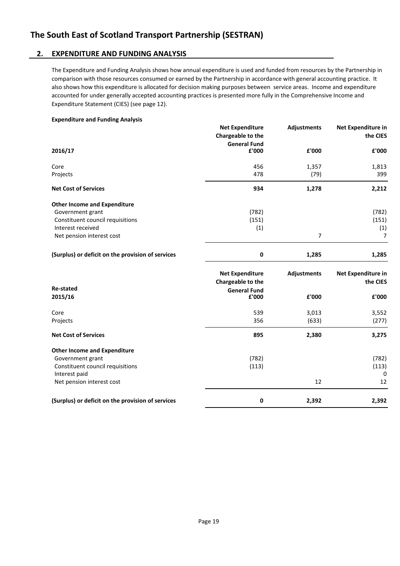### **2. EXPENDITURE AND FUNDING ANALYSIS**

The Expenditure and Funding Analysis shows how annual expenditure is used and funded from resources by the Partnership in comparison with those resources consumed or earned by the Partnership in accordance with general accounting practice. It also shows how this expenditure is allocated for decision making purposes between service areas. Income and expenditure accounted for under generally accepted accounting practices is presented more fully in the Comprehensive Income and Expenditure Statement (CIES) (see page 12).

### **Expenditure and Funding Analysis**

|                                                   | <b>Net Expenditure</b><br>Chargeable to the<br><b>General Fund</b> | <b>Adjustments</b> | <b>Net Expenditure in</b><br>the CIES |
|---------------------------------------------------|--------------------------------------------------------------------|--------------------|---------------------------------------|
| 2016/17                                           | £'000                                                              | £'000              | £'000                                 |
| Core                                              | 456                                                                | 1,357              | 1,813                                 |
| Projects                                          | 478                                                                | (79)               | 399                                   |
| <b>Net Cost of Services</b>                       | 934                                                                | 1,278              | 2,212                                 |
| <b>Other Income and Expenditure</b>               |                                                                    |                    |                                       |
| Government grant                                  | (782)                                                              |                    | (782)                                 |
| Constituent council requisitions                  | (151)                                                              |                    | (151)                                 |
| Interest received                                 | (1)                                                                |                    | (1)                                   |
| Net pension interest cost                         |                                                                    | $\overline{7}$     | $\overline{7}$                        |
| (Surplus) or deficit on the provision of services | 0                                                                  | 1,285              | 1,285                                 |
|                                                   | <b>Net Expenditure</b>                                             | <b>Adjustments</b> | <b>Net Expenditure in</b>             |
|                                                   | Chargeable to the                                                  |                    | the CIES                              |
| <b>Re-stated</b>                                  | <b>General Fund</b>                                                |                    |                                       |
| 2015/16                                           | £'000                                                              | £'000              | £'000                                 |
| Core                                              | 539                                                                | 3,013              | 3,552                                 |
| Projects                                          | 356                                                                | (633)              | (277)                                 |
| <b>Net Cost of Services</b>                       | 895                                                                | 2,380              | 3,275                                 |
| <b>Other Income and Expenditure</b>               |                                                                    |                    |                                       |
| Government grant                                  | (782)                                                              |                    | (782)                                 |
| Constituent council requisitions                  | (113)                                                              |                    | (113)                                 |
| Interest paid                                     |                                                                    |                    | 0                                     |
| Net pension interest cost                         |                                                                    | 12                 | 12                                    |
| (Surplus) or deficit on the provision of services | 0                                                                  | 2,392              | 2,392                                 |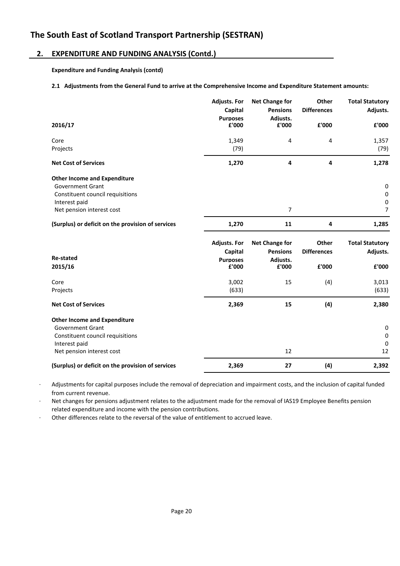### **2. EXPENDITURE AND FUNDING ANALYSIS (Contd.)**

**Expenditure and Funding Analysis (contd)**

### **2.1 Adjustments from the General Fund to arrive at the Comprehensive Income and Expenditure Statement amounts:**

|                                                   | <b>Adjusts. For</b><br>Capital | <b>Net Change for</b><br><b>Pensions</b> | Other<br><b>Differences</b> | <b>Total Statutory</b><br>Adjusts. |
|---------------------------------------------------|--------------------------------|------------------------------------------|-----------------------------|------------------------------------|
| 2016/17                                           | <b>Purposes</b><br>£'000       | Adiusts.<br>£'000                        | £'000                       | £'000                              |
| Core                                              | 1,349                          | 4                                        | 4                           | 1,357                              |
| Projects                                          | (79)                           |                                          |                             | (79)                               |
| <b>Net Cost of Services</b>                       | 1,270                          | 4                                        | 4                           | 1,278                              |
| <b>Other Income and Expenditure</b>               |                                |                                          |                             |                                    |
| <b>Government Grant</b>                           |                                |                                          |                             | $\pmb{0}$                          |
| Constituent council requisitions<br>Interest paid |                                |                                          |                             | 0<br>0                             |
| Net pension interest cost                         |                                | $\overline{7}$                           |                             | $\overline{7}$                     |
| (Surplus) or deficit on the provision of services | 1,270                          | 11                                       | 4                           | 1,285                              |
|                                                   | <b>Adjusts. For</b>            | <b>Net Change for</b>                    | Other                       | <b>Total Statutory</b>             |
|                                                   | Capital                        | <b>Pensions</b>                          | <b>Differences</b>          | Adjusts.                           |
| <b>Re-stated</b>                                  | <b>Purposes</b>                | Adiusts.                                 |                             |                                    |
| 2015/16                                           | £'000                          | £'000                                    | £'000                       | £'000                              |
| Core                                              | 3,002                          | 15                                       | (4)                         | 3,013                              |
| Projects                                          | (633)                          |                                          |                             | (633)                              |
| <b>Net Cost of Services</b>                       | 2,369                          | 15                                       | (4)                         | 2,380                              |
| <b>Other Income and Expenditure</b>               |                                |                                          |                             |                                    |
| <b>Government Grant</b>                           |                                |                                          |                             | 0                                  |
| Constituent council requisitions                  |                                |                                          |                             | 0                                  |
| Interest paid                                     |                                |                                          |                             | 0                                  |
|                                                   |                                |                                          |                             |                                    |
| Net pension interest cost                         |                                | 12                                       |                             | 12                                 |

· Adjustments for capital purposes include the removal of depreciation and impairment costs, and the inclusion of capital funded from current revenue.

· Net changes for pensions adjustment relates to the adjustment made for the removal of IAS19 Employee Benefits pension related expenditure and income with the pension contributions.

Other differences relate to the reversal of the value of entitlement to accrued leave.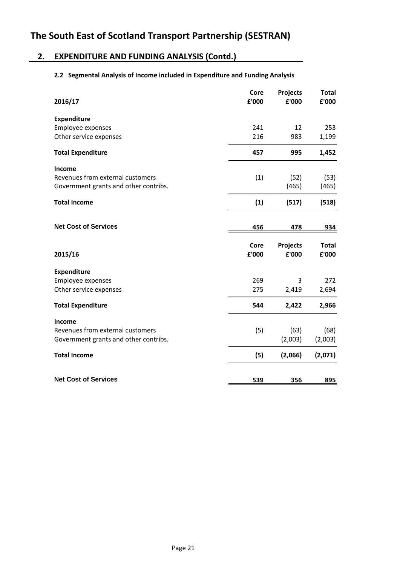### **2. EXPENDITURE AND FUNDING ANALYSIS (Contd.)**

### **2.2 Segmental Analysis of Income included in Expenditure and Funding Analysis**

| Core<br>£'000 | Projects<br>£'000 | <b>Total</b><br>£'000 |
|---------------|-------------------|-----------------------|
|               |                   |                       |
| 241           | 12                | 253                   |
| 216           | 983               | 1,199                 |
| 457           | 995               | 1,452                 |
|               |                   |                       |
| (1)           | (52)              | (53)                  |
|               | (465)             | (465)                 |
| (1)           | (517)             | (518)                 |
|               |                   |                       |
| 456           | 478               | 934                   |
| Core<br>£'000 | Projects<br>£'000 | <b>Total</b><br>£'000 |
|               |                   |                       |
| 269           | 3                 | 272                   |
| 275           | 2,419             | 2,694                 |
| 544           | 2,422             | 2,966                 |
|               |                   |                       |
| (5)           | (63)              | (68)                  |
|               | (2,003)           | (2,003)               |
| (5)           | (2,066)           | (2,071)               |
|               |                   | 895                   |
|               | 539               | 356                   |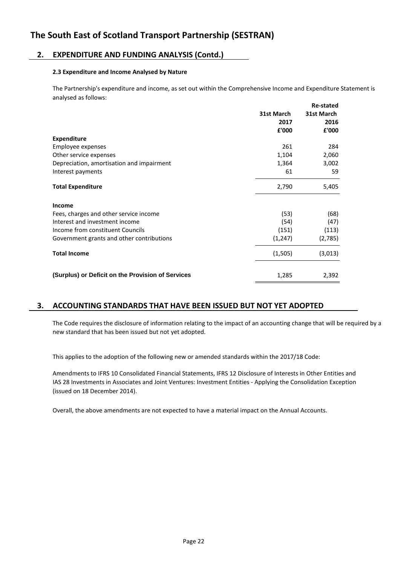### **2. EXPENDITURE AND FUNDING ANALYSIS (Contd.)**

### **2.3 Expenditure and Income Analysed by Nature**

The Partnership's expenditure and income, as set out within the Comprehensive Income and Expenditure Statement is analysed as follows:

|                                                   | 31st March<br>2017<br>£'000 | <b>Re-stated</b><br>31st March<br>2016<br>£'000 |
|---------------------------------------------------|-----------------------------|-------------------------------------------------|
| <b>Expenditure</b>                                |                             |                                                 |
| Employee expenses                                 | 261                         | 284                                             |
| Other service expenses                            | 1,104                       | 2,060                                           |
| Depreciation, amortisation and impairment         | 1,364                       | 3,002                                           |
| Interest payments                                 | 61                          | 59                                              |
| <b>Total Expenditure</b>                          | 2,790                       | 5,405                                           |
| Income                                            |                             |                                                 |
| Fees, charges and other service income            | (53)                        | (68)                                            |
| Interest and investment income                    | (54)                        | (47)                                            |
| Income from constituent Councils                  | (151)                       | (113)                                           |
| Government grants and other contributions         | (1, 247)                    | (2,785)                                         |
| <b>Total Income</b>                               | (1,505)                     | (3,013)                                         |
| (Surplus) or Deficit on the Provision of Services | 1,285                       | 2,392                                           |

### **3. ACCOUNTING STANDARDS THAT HAVE BEEN ISSUED BUT NOT YET ADOPTED**

The Code requires the disclosure of information relating to the impact of an accounting change that will be required by a new standard that has been issued but not yet adopted.

This applies to the adoption of the following new or amended standards within the 2017/18 Code:

Amendments to IFRS 10 Consolidated Financial Statements, IFRS 12 Disclosure of Interests in Other Entities and IAS 28 Investments in Associates and Joint Ventures: Investment Entities - Applying the Consolidation Exception (issued on 18 December 2014).

Overall, the above amendments are not expected to have a material impact on the Annual Accounts.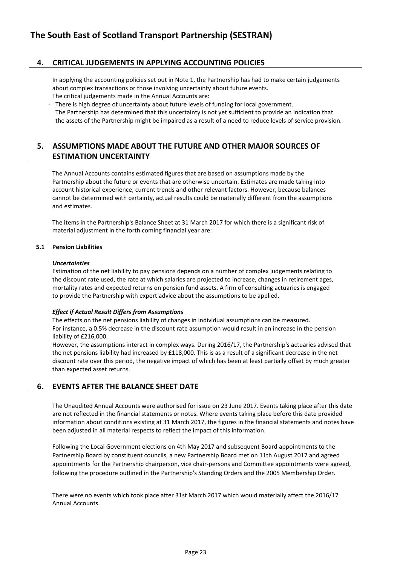### **4. CRITICAL JUDGEMENTS IN APPLYING ACCOUNTING POLICIES**

In applying the accounting policies set out in Note 1, the Partnership has had to make certain judgements about complex transactions or those involving uncertainty about future events. The critical judgements made in the Annual Accounts are:

- There is high degree of uncertainty about future levels of funding for local government.
- The Partnership has determined that this uncertainty is not yet sufficient to provide an indication that the assets of the Partnership might be impaired as a result of a need to reduce levels of service provision.

### **5. ASSUMPTIONS MADE ABOUT THE FUTURE AND OTHER MAJOR SOURCES OF ESTIMATION UNCERTAINTY**

The Annual Accounts contains estimated figures that are based on assumptions made by the Partnership about the future or events that are otherwise uncertain. Estimates are made taking into account historical experience, current trends and other relevant factors. However, because balances cannot be determined with certainty, actual results could be materially different from the assumptions and estimates.

The items in the Partnership's Balance Sheet at 31 March 2017 for which there is a significant risk of material adjustment in the forth coming financial year are:

### **5.1 Pension Liabilities**

### *Uncertainties*

Estimation of the net liability to pay pensions depends on a number of complex judgements relating to the discount rate used, the rate at which salaries are projected to increase, changes in retirement ages, mortality rates and expected returns on pension fund assets. A firm of consulting actuaries is engaged to provide the Partnership with expert advice about the assumptions to be applied.

### *Effect if Actual Result Differs from Assumptions*

The effects on the net pensions liability of changes in individual assumptions can be measured. For instance, a 0.5% decrease in the discount rate assumption would result in an increase in the pension liability of £216,000.

However, the assumptions interact in complex ways. During 2016/17, the Partnership's actuaries advised that the net pensions liability had increased by £118,000. This is as a result of a significant decrease in the net discount rate over this period, the negative impact of which has been at least partially offset by much greater than expected asset returns.

### **6. EVENTS AFTER THE BALANCE SHEET DATE**

The Unaudited Annual Accounts were authorised for issue on 23 June 2017. Events taking place after this date are not reflected in the financial statements or notes. Where events taking place before this date provided information about conditions existing at 31 March 2017, the figures in the financial statements and notes have been adjusted in all material respects to reflect the impact of this information.

Following the Local Government elections on 4th May 2017 and subsequent Board appointments to the Partnership Board by constituent councils, a new Partnership Board met on 11th August 2017 and agreed appointments for the Partnership chairperson, vice chair-persons and Committee appointments were agreed, following the procedure outlined in the Partnership's Standing Orders and the 2005 Membership Order.

There were no events which took place after 31st March 2017 which would materially affect the 2016/17 Annual Accounts.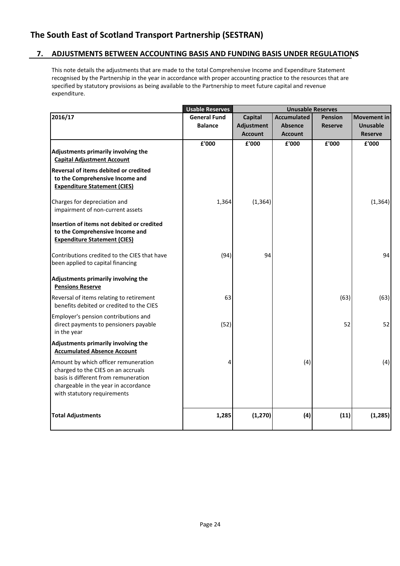### **7. ADJUSTMENTS BETWEEN ACCOUNTING BASIS AND FUNDING BASIS UNDER REGULATIONS**

This note details the adjustments that are made to the total Comprehensive Income and Expenditure Statement recognised by the Partnership in the year in accordance with proper accounting practice to the resources that are specified by statutory provisions as being available to the Partnership to meet future capital and revenue expenditure.

|                                                                                                                                                                                           | <b>Usable Reserves</b> |                | <b>Unusable Reserves</b> |                |                    |
|-------------------------------------------------------------------------------------------------------------------------------------------------------------------------------------------|------------------------|----------------|--------------------------|----------------|--------------------|
| 2016/17                                                                                                                                                                                   | <b>General Fund</b>    | <b>Capital</b> | <b>Accumulated</b>       | <b>Pension</b> | <b>Movement in</b> |
|                                                                                                                                                                                           | <b>Balance</b>         | Adjustment     | <b>Absence</b>           | <b>Reserve</b> | <b>Unusable</b>    |
|                                                                                                                                                                                           |                        | <b>Account</b> | <b>Account</b>           |                | <b>Reserve</b>     |
|                                                                                                                                                                                           | £'000                  | £'000          | £'000                    | £'000          | £'000              |
| Adjustments primarily involving the<br><b>Capital Adjustment Account</b>                                                                                                                  |                        |                |                          |                |                    |
| Reversal of items debited or credited<br>to the Comprehensive Income and<br><b>Expenditure Statement (CIES)</b>                                                                           |                        |                |                          |                |                    |
| Charges for depreciation and<br>impairment of non-current assets                                                                                                                          | 1,364                  | (1, 364)       |                          |                | (1, 364)           |
| Insertion of items not debited or credited<br>to the Comprehensive Income and<br><b>Expenditure Statement (CIES)</b>                                                                      |                        |                |                          |                |                    |
| Contributions credited to the CIES that have<br>been applied to capital financing                                                                                                         | (94)                   | 94             |                          |                | 94                 |
| Adjustments primarily involving the<br><b>Pensions Reserve</b>                                                                                                                            |                        |                |                          |                |                    |
| Reversal of items relating to retirement<br>benefits debited or credited to the CIES                                                                                                      | 63                     |                |                          | (63)           | (63)               |
| Employer's pension contributions and<br>direct payments to pensioners payable<br>in the year                                                                                              | (52)                   |                |                          | 52             | 52                 |
| Adjustments primarily involving the<br><b>Accumulated Absence Account</b>                                                                                                                 |                        |                |                          |                |                    |
| Amount by which officer remuneration<br>charged to the CIES on an accruals<br>basis is different from remuneration<br>chargeable in the year in accordance<br>with statutory requirements | Δ                      |                | (4)                      |                | (4)                |
| <b>Total Adjustments</b>                                                                                                                                                                  | 1,285                  | (1, 270)       | (4)                      | (11)           | (1, 285)           |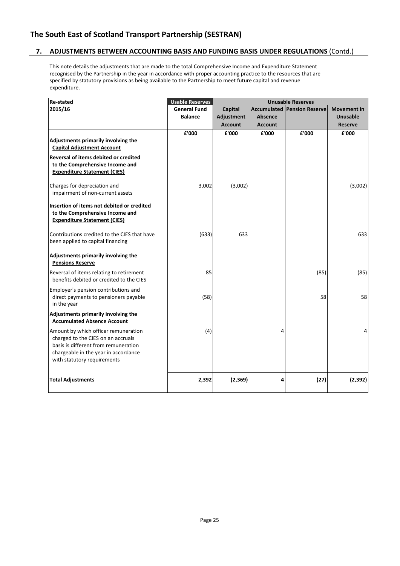### **7. ADJUSTMENTS BETWEEN ACCOUNTING BASIS AND FUNDING BASIS UNDER REGULATIONS** (Contd.)

This note details the adjustments that are made to the total Comprehensive Income and Expenditure Statement recognised by the Partnership in the year in accordance with proper accounting practice to the resources that are specified by statutory provisions as being available to the Partnership to meet future capital and revenue expenditure.

| <b>Re-stated</b>                             | <b>Usable Reserves</b> |                |                | <b>Unusable Reserves</b>           |                    |
|----------------------------------------------|------------------------|----------------|----------------|------------------------------------|--------------------|
| 2015/16                                      | <b>General Fund</b>    | <b>Capital</b> |                | <b>Accumulated Pension Reserve</b> | <b>Movement in</b> |
|                                              | <b>Balance</b>         | Adjustment     | <b>Absence</b> |                                    | <b>Unusable</b>    |
|                                              |                        | <b>Account</b> | <b>Account</b> |                                    | <b>Reserve</b>     |
|                                              | £'000                  | £'000          | £'000          | £'000                              | £'000              |
| Adjustments primarily involving the          |                        |                |                |                                    |                    |
| <b>Capital Adjustment Account</b>            |                        |                |                |                                    |                    |
| Reversal of items debited or credited        |                        |                |                |                                    |                    |
| to the Comprehensive Income and              |                        |                |                |                                    |                    |
| <b>Expenditure Statement (CIES)</b>          |                        |                |                |                                    |                    |
| Charges for depreciation and                 | 3,002                  | (3,002)        |                |                                    | (3,002)            |
| impairment of non-current assets             |                        |                |                |                                    |                    |
|                                              |                        |                |                |                                    |                    |
| Insertion of items not debited or credited   |                        |                |                |                                    |                    |
| to the Comprehensive Income and              |                        |                |                |                                    |                    |
| <b>Expenditure Statement (CIES)</b>          |                        |                |                |                                    |                    |
| Contributions credited to the CIES that have | (633)                  | 633            |                |                                    | 633                |
| been applied to capital financing            |                        |                |                |                                    |                    |
|                                              |                        |                |                |                                    |                    |
| Adjustments primarily involving the          |                        |                |                |                                    |                    |
| <b>Pensions Reserve</b>                      |                        |                |                |                                    |                    |
| Reversal of items relating to retirement     | 85                     |                |                | (85)                               | (85)               |
| benefits debited or credited to the CIES     |                        |                |                |                                    |                    |
| Employer's pension contributions and         |                        |                |                |                                    |                    |
| direct payments to pensioners payable        | (58)                   |                |                | 58                                 | 58                 |
| in the year                                  |                        |                |                |                                    |                    |
| Adjustments primarily involving the          |                        |                |                |                                    |                    |
| <b>Accumulated Absence Account</b>           |                        |                |                |                                    |                    |
| Amount by which officer remuneration         | (4)                    |                | 4              |                                    | 4                  |
| charged to the CIES on an accruals           |                        |                |                |                                    |                    |
| basis is different from remuneration         |                        |                |                |                                    |                    |
| chargeable in the year in accordance         |                        |                |                |                                    |                    |
| with statutory requirements                  |                        |                |                |                                    |                    |
|                                              |                        |                |                |                                    |                    |
| <b>Total Adjustments</b>                     | 2,392                  | (2,369)        | 4              | (27)                               | (2, 392)           |
|                                              |                        |                |                |                                    |                    |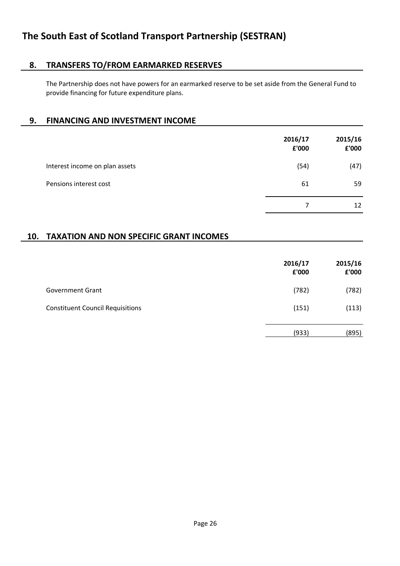# **8. TRANSFERS TO/FROM EARMARKED RESERVES**

The Partnership does not have powers for an earmarked reserve to be set aside from the General Fund to provide financing for future expenditure plans.

### **9. FINANCING AND INVESTMENT INCOME**

|                                | 2016/17<br>£'000 | 2015/16<br>£'000 |
|--------------------------------|------------------|------------------|
| Interest income on plan assets | (54)             | (47)             |
| Pensions interest cost         | 61               | 59               |
|                                | 7                | 12               |

### **10. TAXATION AND NON SPECIFIC GRANT INCOMES**

|                                         | 2016/17<br>£'000 | 2015/16<br>£'000 |
|-----------------------------------------|------------------|------------------|
| <b>Government Grant</b>                 | (782)            | (782)            |
| <b>Constituent Council Requisitions</b> | (151)            | (113)            |
|                                         | (933)            | (895)            |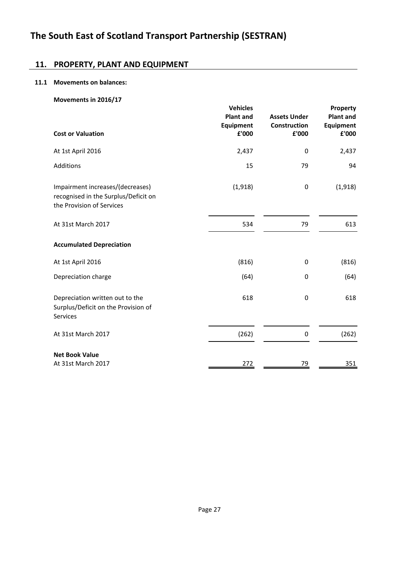### **11. PROPERTY, PLANT AND EQUIPMENT**

### **11.1 Movements on balances:**

|                                                                                                       | <b>Vehicles</b>               |                                     |                                                  |
|-------------------------------------------------------------------------------------------------------|-------------------------------|-------------------------------------|--------------------------------------------------|
|                                                                                                       | <b>Plant and</b><br>Equipment | <b>Assets Under</b><br>Construction | Property<br><b>Plant and</b><br><b>Equipment</b> |
| <b>Cost or Valuation</b>                                                                              | £'000                         | £'000                               | £'000                                            |
| At 1st April 2016                                                                                     | 2,437                         | 0                                   | 2,437                                            |
| Additions                                                                                             | 15                            | 79                                  | 94                                               |
| Impairment increases/(decreases)<br>recognised in the Surplus/Deficit on<br>the Provision of Services | (1, 918)                      | 0                                   | (1,918)                                          |
| At 31st March 2017                                                                                    | 534                           | 79                                  | 613                                              |
| <b>Accumulated Depreciation</b>                                                                       |                               |                                     |                                                  |
| At 1st April 2016                                                                                     | (816)                         | 0                                   | (816)                                            |
| Depreciation charge                                                                                   | (64)                          | 0                                   | (64)                                             |
| Depreciation written out to the<br>Surplus/Deficit on the Provision of<br>Services                    | 618                           | 0                                   | 618                                              |
| At 31st March 2017                                                                                    | (262)                         | 0                                   | (262)                                            |
| <b>Net Book Value</b><br>At 31st March 2017                                                           | <u>272</u>                    | 79                                  | 351                                              |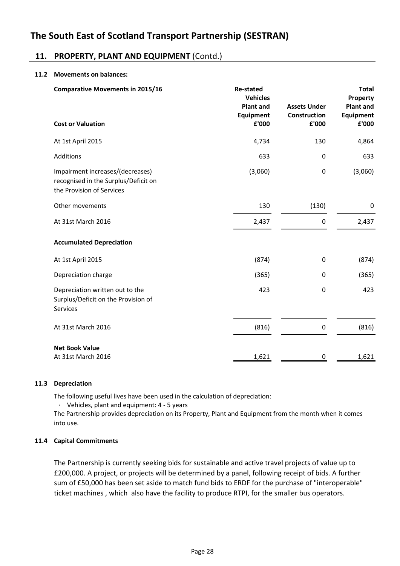### **11. PROPERTY, PLANT AND EQUIPMENT** (Contd.)

### **11.2 Movements on balances:**

| <b>Comparative Movements in 2015/16</b>                                                               | <b>Re-stated</b><br><b>Vehicles</b><br><b>Plant and</b><br><b>Equipment</b> | <b>Assets Under</b><br>Construction | <b>Total</b><br>Property<br><b>Plant and</b><br><b>Equipment</b> |
|-------------------------------------------------------------------------------------------------------|-----------------------------------------------------------------------------|-------------------------------------|------------------------------------------------------------------|
| <b>Cost or Valuation</b>                                                                              | £'000                                                                       | £'000                               | £'000                                                            |
| At 1st April 2015                                                                                     | 4,734                                                                       | 130                                 | 4,864                                                            |
| Additions                                                                                             | 633                                                                         | 0                                   | 633                                                              |
| Impairment increases/(decreases)<br>recognised in the Surplus/Deficit on<br>the Provision of Services | (3,060)                                                                     | $\mathbf 0$                         | (3,060)                                                          |
| Other movements                                                                                       | 130                                                                         | (130)                               | 0                                                                |
| At 31st March 2016                                                                                    | 2,437                                                                       | 0                                   | 2,437                                                            |
| <b>Accumulated Depreciation</b>                                                                       |                                                                             |                                     |                                                                  |
| At 1st April 2015                                                                                     | (874)                                                                       | $\mathbf 0$                         | (874)                                                            |
| Depreciation charge                                                                                   | (365)                                                                       | 0                                   | (365)                                                            |
| Depreciation written out to the<br>Surplus/Deficit on the Provision of<br><b>Services</b>             | 423                                                                         | $\mathbf 0$                         | 423                                                              |
| At 31st March 2016                                                                                    | (816)                                                                       | $\pmb{0}$                           | (816)                                                            |
| <b>Net Book Value</b>                                                                                 |                                                                             |                                     |                                                                  |
| At 31st March 2016                                                                                    | 1,621                                                                       | 0                                   | 1,621                                                            |

### **11.3 Depreciation**

The following useful lives have been used in the calculation of depreciation:

· Vehicles, plant and equipment: 4 - 5 years

The Partnership provides depreciation on its Property, Plant and Equipment from the month when it comes into use.

### **11.4 Capital Commitments**

The Partnership is currently seeking bids for sustainable and active travel projects of value up to £200,000. A project, or projects will be determined by a panel, following receipt of bids. A further sum of £50,000 has been set aside to match fund bids to ERDF for the purchase of "interoperable" ticket machines , which also have the facility to produce RTPI, for the smaller bus operators.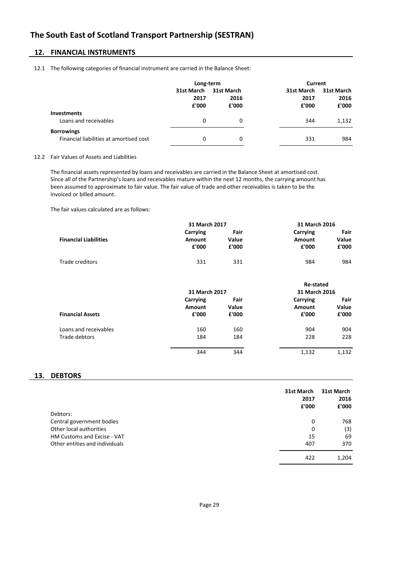### **12. FINANCIAL INSTRUMENTS**

#### 12.1 The following categories of financial instrument are carried in the Balance Sheet:

|                                                              | Long-term                   |                             | Current                     |                             |
|--------------------------------------------------------------|-----------------------------|-----------------------------|-----------------------------|-----------------------------|
|                                                              | 31st March<br>2017<br>£'000 | 31st March<br>2016<br>£'000 | 31st March<br>2017<br>£'000 | 31st March<br>2016<br>£'000 |
| <b>Investments</b><br>Loans and receivables                  | 0                           | 0                           | 344                         | 1,132                       |
| <b>Borrowings</b><br>Financial liabilities at amortised cost | 0                           | 0                           | 331                         | 984                         |

#### 12.2 Fair Values of Assets and Liabilities

The financial assets represented by loans and receivables are carried in the Balance Sheet at amortised cost. Since all of the Partnership's loans and receivables mature within the next 12 months, the carrying amount has been assumed to approximate to fair value. The fair value of trade and other receivables is taken to be the invoiced or billed amount.

The fair values calculated are as follows:

|                              | 31 March 2017 |       | 31 March 2016 |       |
|------------------------------|---------------|-------|---------------|-------|
|                              | Carrying      | Fair  | Carrying      | Fair  |
| <b>Financial Liabilities</b> | Amount        | Value | Amount        | Value |
|                              | £'000         | £'000 | £'000         | £'000 |
| Trade creditors              | 331           | 331   | 984           | 984   |

|                         |               |       | <b>Re-stated</b> |       |
|-------------------------|---------------|-------|------------------|-------|
|                         | 31 March 2017 |       | 31 March 2016    |       |
|                         | Carrying      | Fair  | Carrying         | Fair  |
|                         | <b>Amount</b> | Value | Amount           | Value |
| <b>Financial Assets</b> | £'000         | £'000 | £'000            | £'000 |
| Loans and receivables   | 160           | 160   | 904              | 904   |
| Trade debtors           | 184           | 184   | 228              | 228   |
|                         | 344           | 344   | 1,132            | 1,132 |

### **13. DEBTORS**

| Debtors:                       | 31st March<br>2017<br>£'000 | 31st March<br>2016<br>£'000 |
|--------------------------------|-----------------------------|-----------------------------|
| Central government bodies      | 0                           | 768                         |
| Other local authorities        | 0                           | (3)                         |
| HM Customs and Excise - VAT    | 15                          | 69                          |
| Other entities and individuals | 407                         | 370                         |
|                                | 422                         | 1,204                       |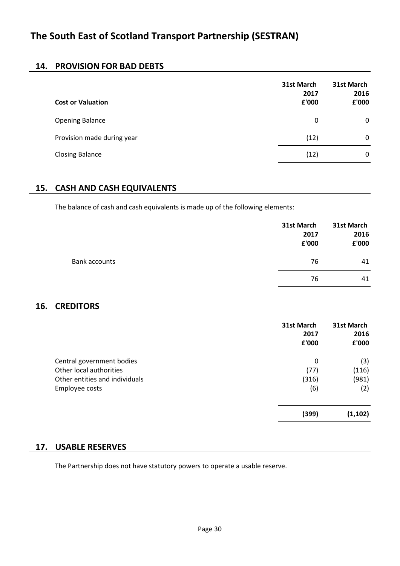### **14. PROVISION FOR BAD DEBTS**

| <b>Cost or Valuation</b>   | 31st March<br>2017<br>£'000 | 31st March<br>2016<br>£'000 |
|----------------------------|-----------------------------|-----------------------------|
| <b>Opening Balance</b>     | 0                           | 0                           |
| Provision made during year | (12)                        | 0                           |
| <b>Closing Balance</b>     | (12)                        | 0                           |

### **15. CASH AND CASH EQUIVALENTS**

The balance of cash and cash equivalents is made up of the following elements:

|                      | 31st March<br>2017<br>£'000 | 31st March<br>2016<br>£'000 |
|----------------------|-----------------------------|-----------------------------|
| <b>Bank accounts</b> | 76                          | 41                          |
|                      | 76                          | 41                          |

## **16. CREDITORS**

|                                | 31st March<br>2017<br>£'000 | 31st March<br>2016<br>£'000 |
|--------------------------------|-----------------------------|-----------------------------|
| Central government bodies      | 0                           | (3)                         |
| Other local authorities        | (77)                        | (116)                       |
| Other entities and individuals | (316)                       | (981)                       |
| Employee costs                 | (6)                         | (2)                         |
|                                | (399)                       | (1, 102)                    |

### **17. USABLE RESERVES**

The Partnership does not have statutory powers to operate a usable reserve.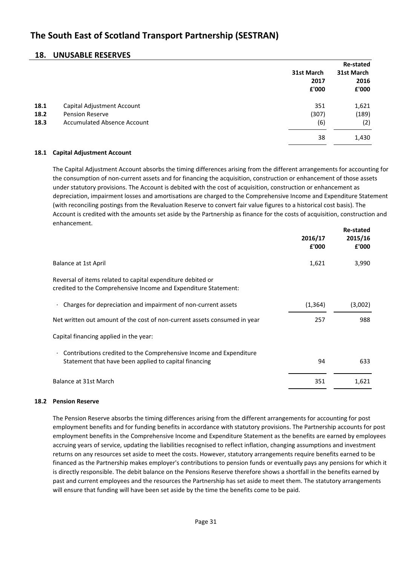### **18. UNUSABLE RESERVES**

|                      |                                                                                            | 31st March<br>2017<br>£'000 | <b>Re-stated</b><br>31st March<br>2016<br>£'000 |
|----------------------|--------------------------------------------------------------------------------------------|-----------------------------|-------------------------------------------------|
| 18.1<br>18.2<br>18.3 | Capital Adjustment Account<br><b>Pension Reserve</b><br><b>Accumulated Absence Account</b> | 351<br>(307)<br>(6)         | 1,621<br>(189)<br>(2)                           |
|                      |                                                                                            | 38                          | 1,430                                           |

### **18.1 Capital Adjustment Account**

**Re-stated** The Capital Adjustment Account absorbs the timing differences arising from the different arrangements for accounting for the consumption of non-current assets and for financing the acquisition, construction or enhancement of those assets under statutory provisions. The Account is debited with the cost of acquisition, construction or enhancement as depreciation, impairment losses and amortisations are charged to the Comprehensive Income and Expenditure Statement (with reconciling postings from the Revaluation Reserve to convert fair value figures to a historical cost basis). The Account is credited with the amounts set aside by the Partnership as finance for the costs of acquisition, construction and enhancement.

|                                                                                                                                          | 2016/17<br>£'000 | 2015/16<br>£'000 |
|------------------------------------------------------------------------------------------------------------------------------------------|------------------|------------------|
| Balance at 1st April                                                                                                                     | 1,621            | 3,990            |
| Reversal of items related to capital expenditure debited or<br>credited to the Comprehensive Income and Expenditure Statement:           |                  |                  |
| Charges for depreciation and impairment of non-current assets                                                                            | (1, 364)         | (3,002)          |
| Net written out amount of the cost of non-current assets consumed in year                                                                | 257              | 988              |
| Capital financing applied in the year:                                                                                                   |                  |                  |
| Contributions credited to the Comprehensive Income and Expenditure<br>$\bullet$<br>Statement that have been applied to capital financing | 94               | 633              |
| Balance at 31st March                                                                                                                    | 351              | 1,621            |

### **18.2 Pension Reserve**

The Pension Reserve absorbs the timing differences arising from the different arrangements for accounting for post employment benefits and for funding benefits in accordance with statutory provisions. The Partnership accounts for post employment benefits in the Comprehensive Income and Expenditure Statement as the benefits are earned by employees accruing years of service, updating the liabilities recognised to reflect inflation, changing assumptions and investment returns on any resources set aside to meet the costs. However, statutory arrangements require benefits earned to be financed as the Partnership makes employer's contributions to pension funds or eventually pays any pensions for which it is directly responsible. The debit balance on the Pensions Reserve therefore shows a shortfall in the benefits earned by past and current employees and the resources the Partnership has set aside to meet them. The statutory arrangements will ensure that funding will have been set aside by the time the benefits come to be paid.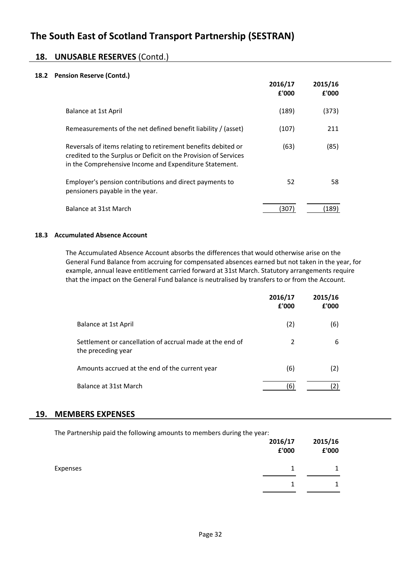### **18. UNUSABLE RESERVES** (Contd.)

### **18.2 Pension Reserve (Contd.)**

|                                                                                                                                                                                            | 2016/17<br>£'000 | 2015/16<br>£'000 |
|--------------------------------------------------------------------------------------------------------------------------------------------------------------------------------------------|------------------|------------------|
| <b>Balance at 1st April</b>                                                                                                                                                                | (189)            | (373)            |
| Remeasurements of the net defined benefit liability / (asset)                                                                                                                              | (107)            | 211              |
| Reversals of items relating to retirement benefits debited or<br>credited to the Surplus or Deficit on the Provision of Services<br>in the Comprehensive Income and Expenditure Statement. | (63)             | (85)             |
| Employer's pension contributions and direct payments to<br>pensioners payable in the year.                                                                                                 | 52               | 58               |
| Balance at 31st March                                                                                                                                                                      | 307              | 189)             |

### **18.3 Accumulated Absence Account**

The Accumulated Absence Account absorbs the differences that would otherwise arise on the General Fund Balance from accruing for compensated absences earned but not taken in the year, for example, annual leave entitlement carried forward at 31st March. Statutory arrangements require that the impact on the General Fund balance is neutralised by transfers to or from the Account.

|                                                                                | 2016/17<br>£'000 | 2015/16<br>£'000 |
|--------------------------------------------------------------------------------|------------------|------------------|
| Balance at 1st April                                                           | (2)              | (6)              |
| Settlement or cancellation of accrual made at the end of<br>the preceding year | 2                | 6                |
| Amounts accrued at the end of the current year                                 | (6)              | (2)              |
| Balance at 31st March                                                          | (6)              |                  |

### **19. MEMBERS EXPENSES**

| The Partnership paid the following amounts to members during the year: | 2016/17<br>£'000 | 2015/16<br>£'000 |
|------------------------------------------------------------------------|------------------|------------------|
| Expenses                                                               |                  |                  |
|                                                                        |                  |                  |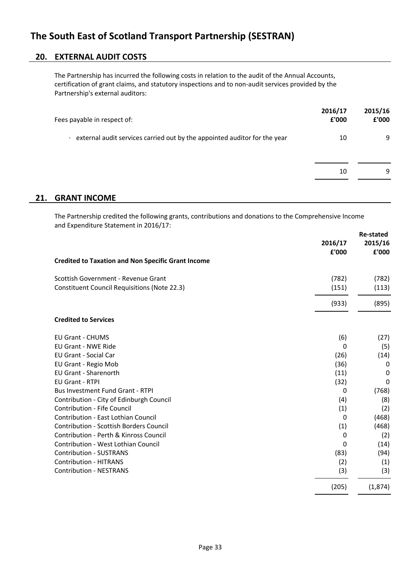### **20. EXTERNAL AUDIT COSTS**

The Partnership has incurred the following costs in relation to the audit of the Annual Accounts, certification of grant claims, and statutory inspections and to non-audit services provided by the Partnership's external auditors:

| Fees payable in respect of:                                                    | 2016/17<br>£'000 | 2015/16<br>£'000 |
|--------------------------------------------------------------------------------|------------------|------------------|
| external audit services carried out by the appointed auditor for the year<br>٠ | 10               | 9                |
|                                                                                | 10               | 9                |

### **21. GRANT INCOME**

The Partnership credited the following grants, contributions and donations to the Comprehensive Income and Expenditure Statement in 2016/17:

|                                                           | 2016/17<br>£'000 | <b>Re-stated</b><br>2015/16<br>£'000 |
|-----------------------------------------------------------|------------------|--------------------------------------|
| <b>Credited to Taxation and Non Specific Grant Income</b> |                  |                                      |
| Scottish Government - Revenue Grant                       | (782)            | (782)                                |
| <b>Constituent Council Requisitions (Note 22.3)</b>       | (151)            | (113)                                |
|                                                           | (933)            | (895)                                |
| <b>Credited to Services</b>                               |                  |                                      |
| <b>EU Grant - CHUMS</b>                                   | (6)              | (27)                                 |
| <b>EU Grant - NWE Ride</b>                                | 0                | (5)                                  |
| <b>EU Grant - Social Car</b>                              | (26)             | (14)                                 |
| EU Grant - Regio Mob                                      | (36)             | 0                                    |
| <b>EU Grant - Sharenorth</b>                              | (11)             | 0                                    |
| <b>EU Grant - RTPI</b>                                    | (32)             | 0                                    |
| <b>Bus Investment Fund Grant - RTPI</b>                   | 0                | (768)                                |
| Contribution - City of Edinburgh Council                  | (4)              | (8)                                  |
| Contribution - Fife Council                               | (1)              | (2)                                  |
| Contribution - East Lothian Council                       | 0                | (468)                                |
| <b>Contribution - Scottish Borders Council</b>            | (1)              | (468)                                |
| Contribution - Perth & Kinross Council                    | 0                | (2)                                  |
| Contribution - West Lothian Council                       | 0                | (14)                                 |
| <b>Contribution - SUSTRANS</b>                            | (83)             | (94)                                 |
| <b>Contribution - HITRANS</b>                             | (2)              | (1)                                  |
| <b>Contribution - NESTRANS</b>                            | (3)              | (3)                                  |
|                                                           | (205)            | (1, 874)                             |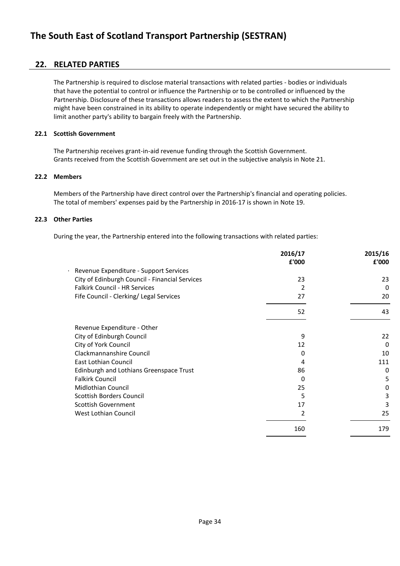### **22. RELATED PARTIES**

The Partnership is required to disclose material transactions with related parties - bodies or individuals that have the potential to control or influence the Partnership or to be controlled or influenced by the Partnership. Disclosure of these transactions allows readers to assess the extent to which the Partnership might have been constrained in its ability to operate independently or might have secured the ability to limit another party's ability to bargain freely with the Partnership.

### **22.1 Scottish Government**

The Partnership receives grant-in-aid revenue funding through the Scottish Government. Grants received from the Scottish Government are set out in the subjective analysis in Note 21.

### **22.2 Members**

Members of the Partnership have direct control over the Partnership's financial and operating policies. The total of members' expenses paid by the Partnership in 2016-17 is shown in Note 19.

### **22.3 Other Parties**

During the year, the Partnership entered into the following transactions with related parties:

|                                                | 2016/17       | 2015/16  |
|------------------------------------------------|---------------|----------|
|                                                | £'000         | £'000    |
| Revenue Expenditure - Support Services         |               |          |
| City of Edinburgh Council - Financial Services | 23            | 23       |
| Falkirk Council - HR Services                  | $\mathcal{P}$ | $\Omega$ |
| Fife Council - Clerking/ Legal Services        | 27            | 20       |
|                                                | 52            | 43       |
| Revenue Expenditure - Other                    |               |          |
| City of Edinburgh Council                      | 9             | 22       |
| City of York Council                           | 12            | $\Omega$ |
| Clackmannanshire Council                       | 0             | 10       |
| East Lothian Council                           | 4             | 111      |
| Edinburgh and Lothians Greenspace Trust        | 86            | 0        |
| <b>Falkirk Council</b>                         | 0             | 5        |
| <b>Midlothian Council</b>                      | 25            | 0        |
| Scottish Borders Council                       | 5             | 3        |
| <b>Scottish Government</b>                     | 17            | 3        |
| West Lothian Council                           | 2             | 25       |
|                                                | 160           | 179      |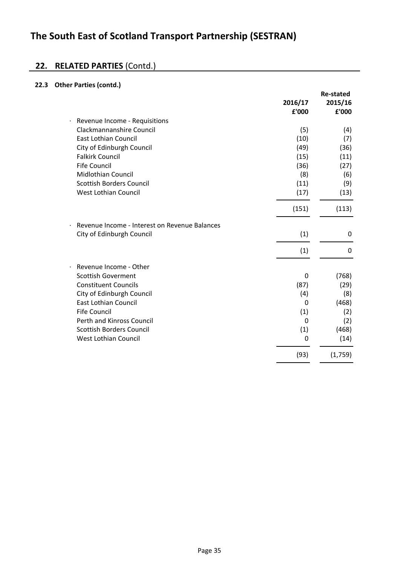# **22. RELATED PARTIES** (Contd.)

### **22.3 Other Parties (contd.)**

|           |                                               |             | <b>Re-stated</b> |
|-----------|-----------------------------------------------|-------------|------------------|
|           |                                               | 2016/17     | 2015/16          |
|           |                                               | £'000       | £'000            |
| $\bullet$ | Revenue Income - Requisitions                 |             |                  |
|           | Clackmannanshire Council                      | (5)         | (4)              |
|           | East Lothian Council                          | (10)        | (7)              |
|           | City of Edinburgh Council                     | (49)        | (36)             |
|           | <b>Falkirk Council</b>                        | (15)        | (11)             |
|           | <b>Fife Council</b>                           | (36)        | (27)             |
|           | Midlothian Council                            | (8)         | (6)              |
|           | <b>Scottish Borders Council</b>               | (11)        | (9)              |
|           | <b>West Lothian Council</b>                   | (17)        | (13)             |
|           |                                               | (151)       | (113)            |
|           | Revenue Income - Interest on Revenue Balances |             |                  |
|           | City of Edinburgh Council                     | (1)         | 0                |
|           |                                               | (1)         | 0                |
|           | Revenue Income - Other                        |             |                  |
|           | <b>Scottish Goverment</b>                     | 0           | (768)            |
|           | <b>Constituent Councils</b>                   | (87)        | (29)             |
|           | City of Edinburgh Council                     | (4)         | (8)              |
|           | East Lothian Council                          | 0           | (468)            |
|           | <b>Fife Council</b>                           | (1)         | (2)              |
|           | Perth and Kinross Council                     | $\mathbf 0$ | (2)              |
|           | <b>Scottish Borders Council</b>               | (1)         | (468)            |
|           | <b>West Lothian Council</b>                   | 0           | (14)             |
|           |                                               | (93)        | (1,759)          |
|           |                                               |             |                  |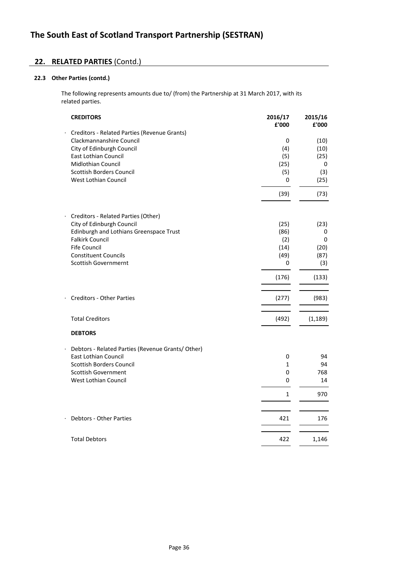### **22. RELATED PARTIES** (Contd.)

### **22.3 Other Parties (contd.)**

The following represents amounts due to/ (from) the Partnership at 31 March 2017, with its related parties.

| <b>CREDITORS</b>                                  | 2016/17<br>£'000 | 2015/16<br>£'000 |
|---------------------------------------------------|------------------|------------------|
| Creditors - Related Parties (Revenue Grants)      |                  |                  |
| Clackmannanshire Council                          | 0                | (10)             |
| City of Edinburgh Council                         | (4)              | (10)             |
| East Lothian Council                              | (5)              | (25)             |
| <b>Midlothian Council</b>                         | (25)             | 0                |
| <b>Scottish Borders Council</b>                   | (5)              | (3)              |
| West Lothian Council                              | 0                | (25)             |
|                                                   | (39)             | (73)             |
| Creditors - Related Parties (Other)               |                  |                  |
| City of Edinburgh Council                         | (25)             | (23)             |
| Edinburgh and Lothians Greenspace Trust           | (86)             | 0                |
| <b>Falkirk Council</b>                            | (2)              | 0                |
| <b>Fife Council</b>                               | (14)             | (20)             |
| <b>Constituent Councils</b>                       | (49)             | (87)             |
| <b>Scottish Governmernt</b>                       | 0                | (3)              |
|                                                   | (176)            | (133)            |
| <b>Creditors - Other Parties</b>                  | (277)            | (983)            |
| <b>Total Creditors</b>                            | (492)            | (1, 189)         |
| <b>DEBTORS</b>                                    |                  |                  |
| Debtors - Related Parties (Revenue Grants/ Other) |                  |                  |
| <b>East Lothian Council</b>                       | 0                | 94               |
| <b>Scottish Borders Council</b>                   | 1                | 94               |
| <b>Scottish Government</b>                        | 0                | 768              |
| <b>West Lothian Council</b>                       | 0                | 14               |
|                                                   | $\mathbf{1}$     | 970              |
| <b>Debtors - Other Parties</b>                    | 421              | 176              |
|                                                   |                  |                  |
| <b>Total Debtors</b>                              | 422              | 1,146            |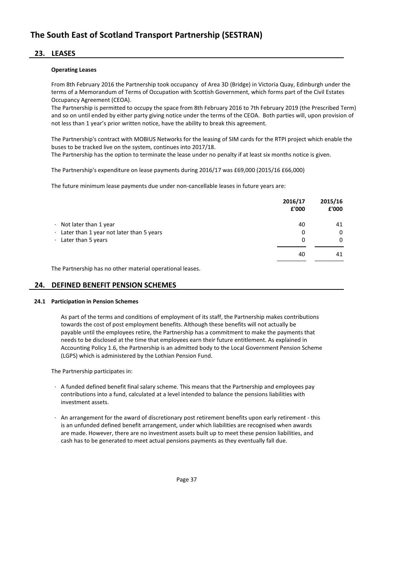### **23. LEASES**

#### **Operating Leases**

From 8th February 2016 the Partnership took occupancy of Area 3D (Bridge) in Victoria Quay, Edinburgh under the terms of a Memorandum of Terms of Occupation with Scottish Government, which forms part of the Civil Estates Occupancy Agreement (CEOA).

The Partnership is permitted to occupy the space from 8th February 2016 to 7th February 2019 (the Prescribed Term) and so on until ended by either party giving notice under the terms of the CEOA. Both parties will, upon provision of not less than 1 year's prior written notice, have the ability to break this agreement.

The Partnership's contract with MOBIUS Networks for the leasing of SIM cards for the RTPI project which enable the buses to be tracked live on the system, continues into 2017/18.

The Partnership has the option to terminate the lease under no penalty if at least six months notice is given.

The Partnership's expenditure on lease payments during 2016/17 was £69,000 (2015/16 £66,000)

The future minimum lease payments due under non-cancellable leases in future years are:

|                                                  | 2016/17<br>£'000 | 2015/16<br>£'000 |
|--------------------------------------------------|------------------|------------------|
| $\cdot$ Not later than 1 year                    | 40               | 41               |
| $\cdot$ Later than 1 year not later than 5 years | 0                | 0                |
| $\cdot$ Later than 5 years                       | 0                | 0                |
|                                                  | 40               | 41               |

The Partnership has no other material operational leases.

### **24. DEFINED BENEFIT PENSION SCHEMES**

#### **24.1 Participation in Pension Schemes**

As part of the terms and conditions of employment of its staff, the Partnership makes contributions towards the cost of post employment benefits. Although these benefits will not actually be payable until the employees retire, the Partnership has a commitment to make the payments that needs to be disclosed at the time that employees earn their future entitlement. As explained in Accounting Policy 1.6, the Partnership is an admitted body to the Local Government Pension Scheme (LGPS) which is administered by the Lothian Pension Fund.

The Partnership participates in:

- · A funded defined benefit final salary scheme. This means that the Partnership and employees pay contributions into a fund, calculated at a level intended to balance the pensions liabilities with investment assets.
- · An arrangement for the award of discretionary post retirement benefits upon early retirement this is an unfunded defined benefit arrangement, under which liabilities are recognised when awards are made. However, there are no investment assets built up to meet these pension liabilities, and cash has to be generated to meet actual pensions payments as they eventually fall due.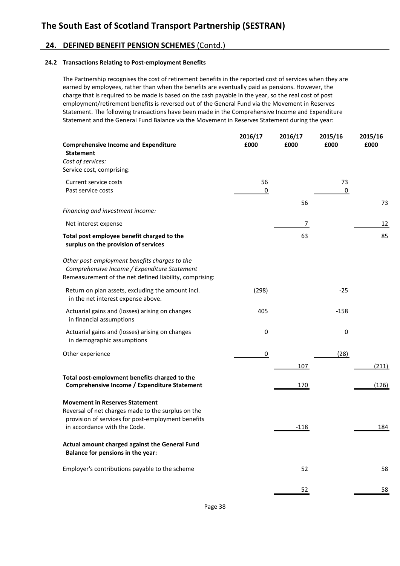### **24. DEFINED BENEFIT PENSION SCHEMES** (Contd.)

### **24.2 Transactions Relating to Post-employment Benefits**

The Partnership recognises the cost of retirement benefits in the reported cost of services when they are earned by employees, rather than when the benefits are eventually paid as pensions. However, the charge that is required to be made is based on the cash payable in the year, so the real cost of post employment/retirement benefits is reversed out of the General Fund via the Movement in Reserves Statement. The following transactions have been made in the Comprehensive Income and Expenditure Statement and the General Fund Balance via the Movement in Reserves Statement during the year:

| <b>Statement</b><br>Cost of services:<br>Service cost, comprising:<br>56<br>73<br>Current service costs<br>0<br>0<br>Past service costs<br>56<br>Financing and investment income:<br>Net interest expense<br>7<br>63<br>Total post employee benefit charged to the<br>surplus on the provision of services<br>Other post-employment benefits charges to the<br>Comprehensive Income / Expenditure Statement<br>Remeasurement of the net defined liability, comprising:<br>$-25$<br>Return on plan assets, excluding the amount incl.<br>(298)<br>in the net interest expense above.<br>Actuarial gains and (losses) arising on changes<br>$-158$<br>405<br>in financial assumptions<br>Actuarial gains and (losses) arising on changes<br>0<br>0<br>in demographic assumptions<br>0<br>(28)<br>Other experience<br>107<br>Total post-employment benefits charged to the<br>Comprehensive Income / Expenditure Statement<br><u>170</u><br><b>Movement in Reserves Statement</b><br>Reversal of net charges made to the surplus on the<br>provision of services for post-employment benefits<br>in accordance with the Code.<br>$-118$<br>Actual amount charged against the General Fund<br>Balance for pensions in the year:<br>Employer's contributions payable to the scheme<br>52<br>52 | <b>Comprehensive Income and Expenditure</b> | 2016/17<br>£000 | 2016/17<br>£000 | 2015/16<br>£000 | 2015/16<br>£000 |
|-------------------------------------------------------------------------------------------------------------------------------------------------------------------------------------------------------------------------------------------------------------------------------------------------------------------------------------------------------------------------------------------------------------------------------------------------------------------------------------------------------------------------------------------------------------------------------------------------------------------------------------------------------------------------------------------------------------------------------------------------------------------------------------------------------------------------------------------------------------------------------------------------------------------------------------------------------------------------------------------------------------------------------------------------------------------------------------------------------------------------------------------------------------------------------------------------------------------------------------------------------------------------------------------|---------------------------------------------|-----------------|-----------------|-----------------|-----------------|
|                                                                                                                                                                                                                                                                                                                                                                                                                                                                                                                                                                                                                                                                                                                                                                                                                                                                                                                                                                                                                                                                                                                                                                                                                                                                                           |                                             |                 |                 |                 |                 |
|                                                                                                                                                                                                                                                                                                                                                                                                                                                                                                                                                                                                                                                                                                                                                                                                                                                                                                                                                                                                                                                                                                                                                                                                                                                                                           |                                             |                 |                 |                 |                 |
|                                                                                                                                                                                                                                                                                                                                                                                                                                                                                                                                                                                                                                                                                                                                                                                                                                                                                                                                                                                                                                                                                                                                                                                                                                                                                           |                                             |                 |                 |                 |                 |
|                                                                                                                                                                                                                                                                                                                                                                                                                                                                                                                                                                                                                                                                                                                                                                                                                                                                                                                                                                                                                                                                                                                                                                                                                                                                                           |                                             |                 |                 |                 |                 |
|                                                                                                                                                                                                                                                                                                                                                                                                                                                                                                                                                                                                                                                                                                                                                                                                                                                                                                                                                                                                                                                                                                                                                                                                                                                                                           |                                             |                 |                 |                 |                 |
|                                                                                                                                                                                                                                                                                                                                                                                                                                                                                                                                                                                                                                                                                                                                                                                                                                                                                                                                                                                                                                                                                                                                                                                                                                                                                           |                                             |                 |                 |                 | 73              |
|                                                                                                                                                                                                                                                                                                                                                                                                                                                                                                                                                                                                                                                                                                                                                                                                                                                                                                                                                                                                                                                                                                                                                                                                                                                                                           |                                             |                 |                 |                 | 12              |
|                                                                                                                                                                                                                                                                                                                                                                                                                                                                                                                                                                                                                                                                                                                                                                                                                                                                                                                                                                                                                                                                                                                                                                                                                                                                                           |                                             |                 |                 |                 | 85              |
|                                                                                                                                                                                                                                                                                                                                                                                                                                                                                                                                                                                                                                                                                                                                                                                                                                                                                                                                                                                                                                                                                                                                                                                                                                                                                           |                                             |                 |                 |                 |                 |
|                                                                                                                                                                                                                                                                                                                                                                                                                                                                                                                                                                                                                                                                                                                                                                                                                                                                                                                                                                                                                                                                                                                                                                                                                                                                                           |                                             |                 |                 |                 |                 |
|                                                                                                                                                                                                                                                                                                                                                                                                                                                                                                                                                                                                                                                                                                                                                                                                                                                                                                                                                                                                                                                                                                                                                                                                                                                                                           |                                             |                 |                 |                 |                 |
|                                                                                                                                                                                                                                                                                                                                                                                                                                                                                                                                                                                                                                                                                                                                                                                                                                                                                                                                                                                                                                                                                                                                                                                                                                                                                           |                                             |                 |                 |                 |                 |
|                                                                                                                                                                                                                                                                                                                                                                                                                                                                                                                                                                                                                                                                                                                                                                                                                                                                                                                                                                                                                                                                                                                                                                                                                                                                                           |                                             |                 |                 |                 |                 |
|                                                                                                                                                                                                                                                                                                                                                                                                                                                                                                                                                                                                                                                                                                                                                                                                                                                                                                                                                                                                                                                                                                                                                                                                                                                                                           |                                             |                 |                 |                 | (211)           |
|                                                                                                                                                                                                                                                                                                                                                                                                                                                                                                                                                                                                                                                                                                                                                                                                                                                                                                                                                                                                                                                                                                                                                                                                                                                                                           |                                             |                 |                 |                 | (126)           |
|                                                                                                                                                                                                                                                                                                                                                                                                                                                                                                                                                                                                                                                                                                                                                                                                                                                                                                                                                                                                                                                                                                                                                                                                                                                                                           |                                             |                 |                 |                 |                 |
|                                                                                                                                                                                                                                                                                                                                                                                                                                                                                                                                                                                                                                                                                                                                                                                                                                                                                                                                                                                                                                                                                                                                                                                                                                                                                           |                                             |                 |                 |                 | 184             |
|                                                                                                                                                                                                                                                                                                                                                                                                                                                                                                                                                                                                                                                                                                                                                                                                                                                                                                                                                                                                                                                                                                                                                                                                                                                                                           |                                             |                 |                 |                 |                 |
|                                                                                                                                                                                                                                                                                                                                                                                                                                                                                                                                                                                                                                                                                                                                                                                                                                                                                                                                                                                                                                                                                                                                                                                                                                                                                           |                                             |                 |                 |                 | 58              |
|                                                                                                                                                                                                                                                                                                                                                                                                                                                                                                                                                                                                                                                                                                                                                                                                                                                                                                                                                                                                                                                                                                                                                                                                                                                                                           |                                             |                 |                 |                 | <u>58</u>       |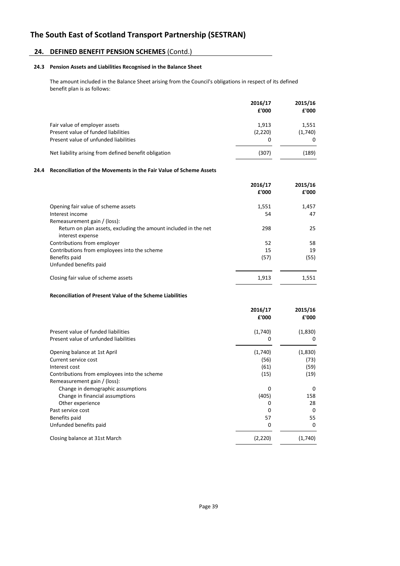### **24. DEFINED BENEFIT PENSION SCHEMES** (Contd.)

#### **24.3 Pension Assets and Liabilities Recognised in the Balance Sheet**

The amount included in the Balance Sheet arising from the Council's obligations in respect of its defined benefit plan is as follows:

|                                                       | 2016/17<br>£'000 | 2015/16<br>£'000 |
|-------------------------------------------------------|------------------|------------------|
| Fair value of employer assets                         | 1.913            | 1,551            |
| Present value of funded liabilities                   | (2,220)          | (1,740)          |
| Present value of unfunded liabilities                 | 0                |                  |
| Net liability arising from defined benefit obligation | (307)            | (189)            |

#### **24.4 Reconciliation of the Movements in the Fair Value of Scheme Assets**

|                                                                 | 2016/17<br>£'000 | 2015/16<br>£'000 |
|-----------------------------------------------------------------|------------------|------------------|
| Opening fair value of scheme assets                             | 1,551            | 1,457            |
| Interest income                                                 | 54               | 47               |
| Remeasurement gain / (loss):                                    |                  |                  |
| Return on plan assets, excluding the amount included in the net | 298              | 25               |
| interest expense                                                |                  |                  |
| Contributions from employer                                     | 52               | 58               |
| Contributions from employees into the scheme                    | 15               | 19               |
| Benefits paid                                                   | (57)             | (55)             |
| Unfunded benefits paid                                          |                  |                  |
| Closing fair value of scheme assets                             | 1.913            | 1.551            |

#### **Reconciliation of Present Value of the Scheme Liabilities**

|                                              | 2016/17<br>£'000 | 2015/16<br>£'000 |
|----------------------------------------------|------------------|------------------|
| Present value of funded liabilities          | (1,740)          | (1,830)          |
| Present value of unfunded liabilities        | 0                | 0                |
| Opening balance at 1st April                 | (1,740)          | (1,830)          |
| Current service cost                         | (56)             | (73)             |
| Interest cost                                | (61)             | (59)             |
| Contributions from employees into the scheme | (15)             | (19)             |
| Remeasurement gain / (loss):                 |                  |                  |
| Change in demographic assumptions            | $\Omega$         | $\Omega$         |
| Change in financial assumptions              | (405)            | 158              |
| Other experience                             | Ω                | 28               |
| Past service cost                            | 0                | $\Omega$         |
| Benefits paid                                | 57               | 55               |
| Unfunded benefits paid                       | 0                | $\Omega$         |
| Closing balance at 31st March                | (2,220)          | (1,740)          |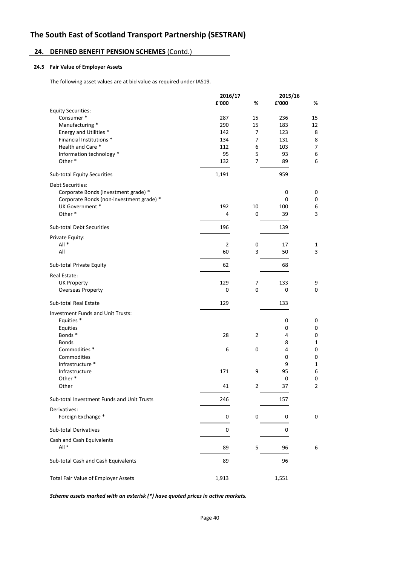### **24. DEFINED BENEFIT PENSION SCHEMES** (Contd.)

### **24.5 Fair Value of Employer Assets**

The following asset values are at bid value as required under IAS19.

|                                            | 2016/17 |                | 2015/16 |                |
|--------------------------------------------|---------|----------------|---------|----------------|
|                                            | £'000   | %              | £'000   | %              |
| <b>Equity Securities:</b>                  |         |                |         |                |
| Consumer*                                  | 287     | 15             | 236     | 15             |
| Manufacturing *                            | 290     | 15             | 183     | 12             |
| Energy and Utilities *                     | 142     | $\overline{7}$ | 123     | 8              |
| Financial Institutions *                   | 134     | 7              | 131     | 8              |
| Health and Care *                          | 112     | 6              | 103     | $\overline{7}$ |
| Information technology *                   | 95      | 5              | 93      | 6              |
| Other*                                     | 132     | $\overline{7}$ | 89      | 6              |
| Sub-total Equity Securities                | 1,191   |                | 959     |                |
| <b>Debt Securities:</b>                    |         |                |         |                |
| Corporate Bonds (investment grade) *       |         |                | 0       | $\mathbf 0$    |
| Corporate Bonds (non-investment grade) *   |         |                | 0       | $\mathbf 0$    |
| UK Government *                            | 192     | 10             | 100     | 6              |
| Other*                                     | 4       | 0              | 39      | 3              |
| <b>Sub-total Debt Securities</b>           | 196     |                | 139     |                |
| Private Equity:                            |         |                |         |                |
| $All *$                                    | 2       | 0              | 17      | 1              |
| All                                        | 60      | 3              | 50      | 3              |
| Sub-total Private Equity                   | 62      |                | 68      |                |
|                                            |         |                |         |                |
| Real Estate:                               |         |                |         |                |
| <b>UK Property</b>                         | 129     | 7              | 133     | 9              |
| <b>Overseas Property</b>                   | 0       | 0              | 0       | 0              |
| Sub-total Real Estate                      | 129     |                | 133     |                |
| Investment Funds and Unit Trusts:          |         |                |         |                |
| Equities *                                 |         |                | 0       | 0              |
| Equities                                   |         |                | 0       | $\mathbf 0$    |
| Bonds*                                     | 28      | 2              | 4       | $\pmb{0}$      |
| <b>Bonds</b>                               |         |                | 8       | $\mathbf 1$    |
| Commodities *                              | 6       | 0              | 4       | 0              |
| Commodities                                |         |                | 0       | $\pmb{0}$      |
| Infrastructure *                           |         |                | 9       | $\mathbf{1}$   |
| Infrastructure                             | 171     | 9              | 95      | 6              |
| Other*                                     |         |                | 0       | 0              |
| Other                                      | 41      | 2              | 37      | $\overline{2}$ |
| Sub-total Investment Funds and Unit Trusts | 246     |                | 157     |                |
| Derivatives:                               |         |                |         |                |
| Foreign Exchange *                         | 0       | 0              | 0       | 0              |
|                                            |         |                |         |                |
| <b>Sub-total Derivatives</b>               | 0       |                | 0       |                |
| Cash and Cash Equivalents                  |         |                |         |                |
| All *                                      | 89      | 5              | 96      | 6              |
| Sub-total Cash and Cash Equivalents        | 89      |                | 96      |                |
|                                            |         |                |         |                |
| Total Fair Value of Employer Assets        | 1,913   |                | 1,551   |                |
|                                            |         |                |         |                |

*Scheme assets marked with an asterisk (\*) have quoted prices in active markets.*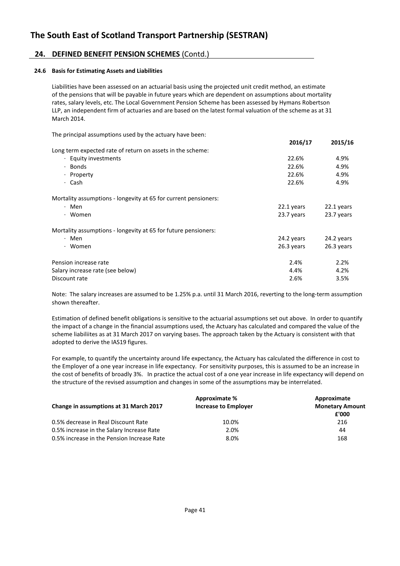### **24. DEFINED BENEFIT PENSION SCHEMES** (Contd.)

### **24.6 Basis for Estimating Assets and Liabilities**

Liabilities have been assessed on an actuarial basis using the projected unit credit method, an estimate of the pensions that will be payable in future years which are dependent on assumptions about mortality rates, salary levels, etc. The Local Government Pension Scheme has been assessed by Hymans Robertson LLP, an independent firm of actuaries and are based on the latest formal valuation of the scheme as at 31 March 2014.

The principal assumptions used by the actuary have been:

|                                                                 | 2016/17    | 2015/16    |
|-----------------------------------------------------------------|------------|------------|
| Long term expected rate of return on assets in the scheme:      |            |            |
| Equity investments                                              | 22.6%      | 4.9%       |
| Bonds<br>$\bullet$                                              | 22.6%      | 4.9%       |
| · Property                                                      | 22.6%      | 4.9%       |
| Cash<br>$\bullet$                                               | 22.6%      | 4.9%       |
| Mortality assumptions - longevity at 65 for current pensioners: |            |            |
| · Men                                                           | 22.1 years | 22.1 years |
| Women<br>$\cdot$                                                | 23.7 years | 23.7 years |
| Mortality assumptions - longevity at 65 for future pensioners:  |            |            |
| · Men                                                           | 24.2 years | 24.2 years |
| Women<br>$\bullet$                                              | 26.3 years | 26.3 years |
| Pension increase rate                                           | 2.4%       | 2.2%       |
| Salary increase rate (see below)                                | 4.4%       | 4.2%       |
| Discount rate                                                   | 2.6%       | 3.5%       |

Note: The salary increases are assumed to be 1.25% p.a. until 31 March 2016, reverting to the long-term assumption shown thereafter.

Estimation of defined benefit obligations is sensitive to the actuarial assumptions set out above. In order to quantify the impact of a change in the financial assumptions used, the Actuary has calculated and compared the value of the scheme liabiliites as at 31 March 2017 on varying bases. The approach taken by the Actuary is consistent with that adopted to derive the IAS19 figures.

For example, to quantify the uncertainty around life expectancy, the Actuary has calculated the difference in cost to the Employer of a one year increase in life expectancy. For sensitivity purposes, this is assumed to be an increase in the cost of benefits of broadly 3%. In practice the actual cost of a one year increase in life expectancy will depend on the structure of the revised assumption and changes in some of the assumptions may be interrelated.

|                                            | Approximate %               | Approximate<br><b>Monetary Amount</b> |  |
|--------------------------------------------|-----------------------------|---------------------------------------|--|
| Change in assumptions at 31 March 2017     | <b>Increase to Employer</b> |                                       |  |
|                                            |                             | £'000                                 |  |
| 0.5% decrease in Real Discount Rate        | 10.0%                       | 216                                   |  |
| 0.5% increase in the Salary Increase Rate  | 2.0%                        | 44                                    |  |
| 0.5% increase in the Pension Increase Rate | 8.0%                        | 168                                   |  |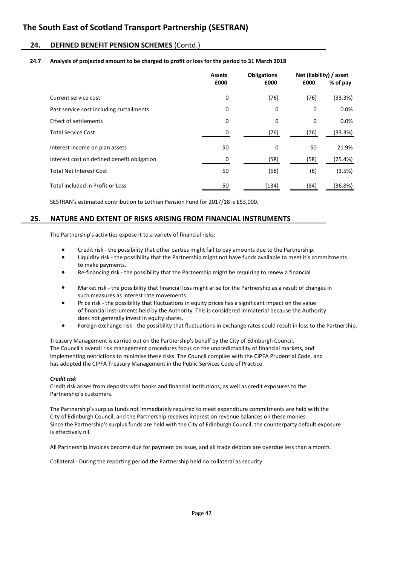### **24. DEFINED BENEFIT PENSION SCHEMES** (Contd.)

#### **24.7 Analysis of projected amount to be charged to profit or loss for the period to 31 March 2018**

|                                             | <b>Assets</b><br>£000 | <b>Obligations</b><br>£000 |      | Net (liability) / asset<br>% of pay<br>£000 |  |
|---------------------------------------------|-----------------------|----------------------------|------|---------------------------------------------|--|
| Current service cost                        | 0                     | (76)                       | (76) | (33.3%)                                     |  |
| Past service cost including curtailments    | 0                     | 0                          | 0    | 0.0%                                        |  |
| Effect of settlements                       | 0                     | 0                          | 0    | $0.0\%$                                     |  |
| <b>Total Service Cost</b>                   |                       | (76)                       | (76) | (33.3%)                                     |  |
| Interest income on plan assets              | 50                    | 0                          | 50   | 21.9%                                       |  |
| Interest cost on defined benefit obligation | 0                     | (58)                       | (58) | (25.4%)                                     |  |
| <b>Total Net Interest Cost</b>              | 50                    | (58)                       | (8)  | (3.5%)                                      |  |
| Total included in Profit or Loss            | 50                    | (134)                      | (84) | (36.8%)                                     |  |

SESTRAN's estimated contribution to Lothian Pension Fund for 2017/18 is £53,000.

### **25. NATURE AND EXTENT OF RISKS ARISING FROM FINANCIAL INSTRUMENTS**

The Partnership's activities expose it to a variety of financial risks:

- Credit risk the possibility that other parties might fail to pay amounts due to the Partnership.
- Liquidity risk the possibility that the Partnership might not have funds available to meet it's commitments to make payments.
- Re-financing risk the possibility that the Partnership might be requiring to renew a financial
- Market risk the possibility that financial loss might arise for the Partnership as a result of changes in such measures as interest rate movements.
- Price risk the possibility that fluctuations in equity prices has a significant impact on the value of financial instruments held by the Authority. This is considered immaterial because the Authority does not generally invest in equity shares.
- Foreign exchange risk the possibility that fluctuations in exchange rates could result in loss to the Partnership.

Treasury Management is carried out on the Partnership's behalf by the City of Edinburgh Council. The Council's overall risk management procedures focus on the unpredictability of financial markets, and implementing restrictions to minimise these risks. The Council complies with the CIPFA Prudential Code, and has adopted the CIPFA Treasury Management in the Public Services Code of Practice.

#### *Credit risk*

Credit risk arises from deposits with banks and financial institutions, as well as credit exposures to the Partnership's customers.

The Partnership's surplus funds not immediately required to meet expenditure commitments are held with the City of Edinburgh Council, and the Partnership receives interest on revenue balances on these monies. Since the Partnership's surplus funds are held with the City of Edinburgh Council, the counterparty default exposure is effectively nil.

All Partnership invoices become due for payment on issue, and all trade debtors are overdue less than a month.

Collateral - During the reporting period the Partnership held no collateral as security.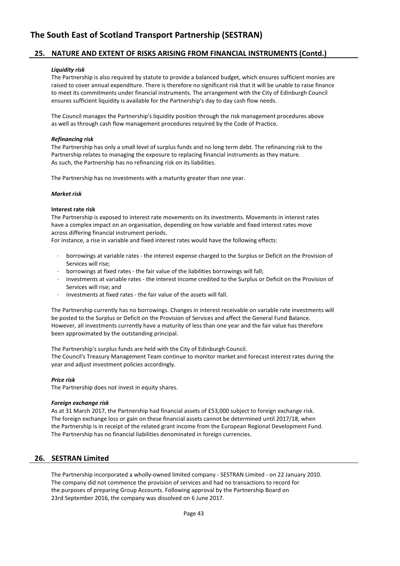### **25. NATURE AND EXTENT OF RISKS ARISING FROM FINANCIAL INSTRUMENTS (Contd.)**

#### *Liquidity risk*

The Partnership is also required by statute to provide a balanced budget, which ensures sufficient monies are raised to cover annual expenditure. There is therefore no significant risk that it will be unable to raise finance to meet its commitments under financial instruments. The arrangement with the City of Edinburgh Council ensures sufficient liquidity is available for the Partnership's day to day cash flow needs.

The Council manages the Partnership's liquidity position through the risk management procedures above as well as through cash flow management procedures required by the Code of Practice.

#### *Refinancing risk*

The Partnership has only a small level of surplus funds and no long term debt. The refinancing risk to the Partnership relates to managing the exposure to replacing financial instruments as they mature. As such, the Partnership has no refinancing risk on its liabilities.

The Partnership has no investments with a maturity greater than one year.

#### *Market risk*

#### **Interest rate risk**

The Partnership is exposed to interest rate movements on its investments. Movements in interest rates have a complex impact on an organisation, depending on how variable and fixed interest rates move across differing financial instrument periods.

For instance, a rise in variable and fixed interest rates would have the following effects:

- · borrowings at variable rates the interest expense charged to the Surplus or Deficit on the Provision of Services will rise;
- · borrowings at fixed rates the fair value of the liabilities borrowings will fall;
- investments at variable rates the interest income credited to the Surplus or Deficit on the Provision of Services will rise; and
- investments at fixed rates the fair value of the assets will fall.

The Partnership currently has no borrowings. Changes in interest receivable on variable rate investments will be posted to the Surplus or Deficit on the Provision of Services and affect the General Fund Balance. However, all investments currently have a maturity of less than one year and the fair value has therefore been approximated by the outstanding principal.

The Partnership's surplus funds are held with the City of Edinburgh Council.

The Council's Treasury Management Team continue to monitor market and forecast interest rates during the year and adjust investment policies accordingly.

#### *Price risk*

The Partnership does not invest in equity shares.

#### *Foreign exchange risk*

As at 31 March 2017, the Partnership had financial assets of £53,000 subject to foreign exchange risk. The foreign exchange loss or gain on these financial assets cannot be determined until 2017/18, when the Partnership is in receipt of the related grant income from the European Regional Development Fund. The Partnership has no financial liabilities denominated in foreign currencies.

### **26. SESTRAN Limited**

The Partnership incorporated a wholly-owned limited company - SESTRAN Limited - on 22 January 2010. The company did not commence the provision of services and had no transactions to record for the purposes of preparing Group Accounts. Following approval by the Partnership Board on 23rd September 2016, the company was dissolved on 6 June 2017.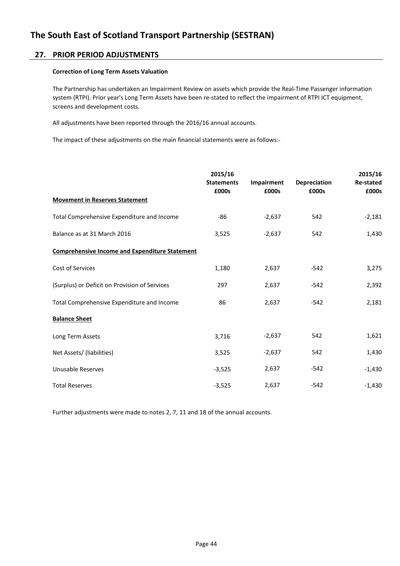### **27. PRIOR PERIOD ADJUSTMENTS**

### **Correction of Long Term Assets Valuation**

The Partnership has undertaken an Impairment Review on assets which provide the Real-Time Passenger information system (RTPI). Prior year's Long Term Assets have been re-stated to reflect the impairment of RTPI ICT equipment, screens and development costs.

All adjustments have been reported through the 2016/16 annual accounts.

The impact of these adjustments on the main financial statements were as follows:-

|                                                       | 2015/16<br><b>Statements</b><br>£000s | Impairment<br>£000s | <b>Depreciation</b><br>£000s | 2015/16<br><b>Re-stated</b><br>£000s |
|-------------------------------------------------------|---------------------------------------|---------------------|------------------------------|--------------------------------------|
| <b>Movement in Reserves Statement</b>                 |                                       |                     |                              |                                      |
| Total Comprehensive Expenditure and Income            | $-86$                                 | $-2,637$            | 542                          | $-2,181$                             |
| Balance as at 31 March 2016                           | 3,525                                 | $-2,637$            | 542                          | 1,430                                |
| <b>Comprehensive Income and Expenditure Statement</b> |                                       |                     |                              |                                      |
| Cost of Services                                      | 1,180                                 | 2,637               | $-542$                       | 3,275                                |
| (Surplus) or Deficit on Provision of Services         | 297                                   | 2,637               | $-542$                       | 2,392                                |
| Total Comprehensive Expenditure and Income            | 86                                    | 2,637               | $-542$                       | 2,181                                |
| <b>Balance Sheet</b>                                  |                                       |                     |                              |                                      |
| Long Term Assets                                      | 3,716                                 | $-2,637$            | 542                          | 1,621                                |
| Net Assets/ (liabilities)                             | 3,525                                 | $-2,637$            | 542                          | 1,430                                |
| Unusable Reserves                                     | $-3,525$                              | 2,637               | $-542$                       | $-1,430$                             |
| <b>Total Reserves</b>                                 | $-3,525$                              | 2,637               | $-542$                       | $-1,430$                             |

Further adjustments were made to notes 2, 7, 11 and 18 of the annual accounts.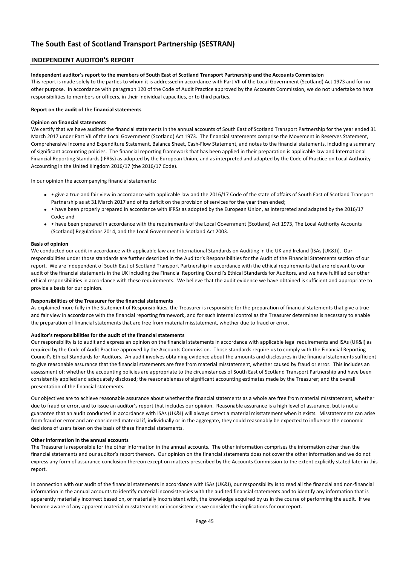### **INDEPENDENT AUDITOR'S REPORT**

#### **Independent auditor's report to the members of South East of Scotland Transport Partnership and the Accounts Commission**

This report is made solely to the parties to whom it is addressed in accordance with Part VII of the Local Government (Scotland) Act 1973 and for no other purpose. In accordance with paragraph 120 of the Code of Audit Practice approved by the Accounts Commission, we do not undertake to have responsibilities to members or officers, in their individual capacities, or to third parties.

#### **Report on the audit of the financial statements**

#### **Opinion on financial statements**

We certify that we have audited the financial statements in the annual accounts of South East of Scotland Transport Partnership for the year ended 31 March 2017 under Part VII of the Local Government (Scotland) Act 1973. The financial statements comprise the Movement in Reserves Statement, Comprehensive Income and Expenditure Statement, Balance Sheet, Cash-Flow Statement, and notes to the financial statements, including a summary of significant accounting policies. The financial reporting framework that has been applied in their preparation is applicable law and International Financial Reporting Standards (IFRSs) as adopted by the European Union, and as interpreted and adapted by the Code of Practice on Local Authority Accounting in the United Kingdom 2016/17 (the 2016/17 Code).

In our opinion the accompanying financial statements:

- • give a true and fair view in accordance with applicable law and the 2016/17 Code of the state of affairs of South East of Scotland Transport Partnership as at 31 March 2017 and of its deficit on the provision of services for the year then ended;
- have been properly prepared in accordance with IFRSs as adopted by the European Union, as interpreted and adapted by the 2016/17 Code; and
- • have been prepared in accordance with the requirements of the Local Government (Scotland) Act 1973, The Local Authority Accounts (Scotland) Regulations 2014, and the Local Government in Scotland Act 2003.

#### **Basis of opinion**

We conducted our audit in accordance with applicable law and International Standards on Auditing in the UK and Ireland (ISAs (UK&I)). Our responsibilities under those standards are further described in the Auditor's Responsibilities for the Audit of the Financial Statements section of our report. We are independent of South East of Scotland Transport Partnership in accordance with the ethical requirements that are relevant to our audit of the financial statements in the UK including the Financial Reporting Council's Ethical Standards for Auditors, and we have fulfilled our other ethical responsibilities in accordance with these requirements. We believe that the audit evidence we have obtained is sufficient and appropriate to provide a basis for our opinion.

#### **Responsibilities of the Treasurer for the financial statements**

As explained more fully in the Statement of Responsibilities, the Treasurer is responsible for the preparation of financial statements that give a true and fair view in accordance with the financial reporting framework, and for such internal control as the Treasurer determines is necessary to enable the preparation of financial statements that are free from material misstatement, whether due to fraud or error.

#### **Auditor's responsibilities for the audit of the financial statements**

Our responsibility is to audit and express an opinion on the financial statements in accordance with applicable legal requirements and ISAs (UK&I) as required by the Code of Audit Practice approved by the Accounts Commission. Those standards require us to comply with the Financial Reporting Council's Ethical Standards for Auditors. An audit involves obtaining evidence about the amounts and disclosures in the financial statements sufficient to give reasonable assurance that the financial statements are free from material misstatement, whether caused by fraud or error. This includes an assessment of: whether the accounting policies are appropriate to the circumstances of South East of Scotland Transport Partnership and have been consistently applied and adequately disclosed; the reasonableness of significant accounting estimates made by the Treasurer; and the overall presentation of the financial statements.

Our objectives are to achieve reasonable assurance about whether the financial statements as a whole are free from material misstatement, whether due to fraud or error, and to issue an auditor's report that includes our opinion. Reasonable assurance is a high level of assurance, but is not a guarantee that an audit conducted in accordance with ISAs (UK&I) will always detect a material misstatement when it exists. Misstatements can arise from fraud or error and are considered material if, individually or in the aggregate, they could reasonably be expected to influence the economic decisions of users taken on the basis of these financial statements.

#### **Other information in the annual accounts**

The Treasurer is responsible for the other information in the annual accounts. The other information comprises the information other than the financial statements and our auditor's report thereon. Our opinion on the financial statements does not cover the other information and we do not express any form of assurance conclusion thereon except on matters prescribed by the Accounts Commission to the extent explicitly stated later in this report.

In connection with our audit of the financial statements in accordance with ISAs (UK&I), our responsibility is to read all the financial and non-financial information in the annual accounts to identify material inconsistencies with the audited financial statements and to identify any information that is apparently materially incorrect based on, or materially inconsistent with, the knowledge acquired by us in the course of performing the audit. If we become aware of any apparent material misstatements or inconsistencies we consider the implications for our report.